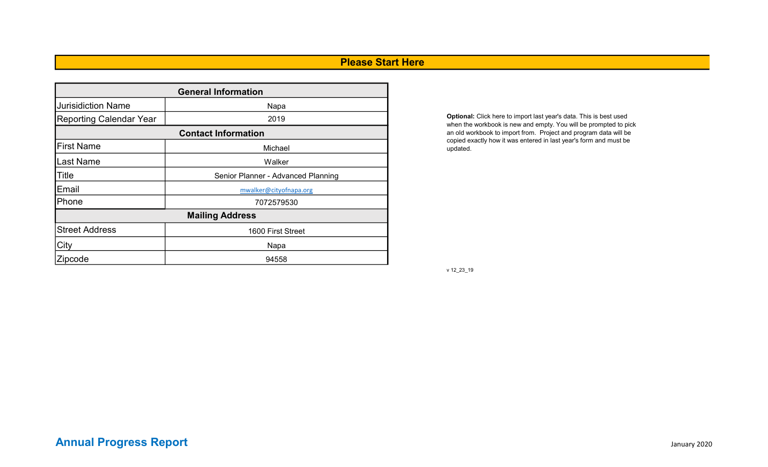## Please Start Here

| <b>General Information</b> |                                    |  |  |  |  |  |  |  |  |
|----------------------------|------------------------------------|--|--|--|--|--|--|--|--|
| <b>Jurisidiction Name</b>  | Napa                               |  |  |  |  |  |  |  |  |
| Reporting Calendar Year    | 2019                               |  |  |  |  |  |  |  |  |
| <b>Contact Information</b> |                                    |  |  |  |  |  |  |  |  |
| <b>First Name</b>          | Michael                            |  |  |  |  |  |  |  |  |
| <b>I</b> Last Name         | Walker                             |  |  |  |  |  |  |  |  |
| <b>Title</b>               | Senior Planner - Advanced Planning |  |  |  |  |  |  |  |  |
| Email                      | mwalker@cityofnapa.org             |  |  |  |  |  |  |  |  |
| Phone                      | 7072579530                         |  |  |  |  |  |  |  |  |
|                            | <b>Mailing Address</b>             |  |  |  |  |  |  |  |  |
| <b>Street Address</b>      | 1600 First Street                  |  |  |  |  |  |  |  |  |
| City                       | Napa                               |  |  |  |  |  |  |  |  |
| Zipcode                    | 94558                              |  |  |  |  |  |  |  |  |

Optional: Click here to import last year's data. This is best used when the workbook is new and empty. You will be prompted to pick an old workbook to import from. Project and program data will be copied exactly how it was entered in last year's form and must be updated.

v 12\_23\_19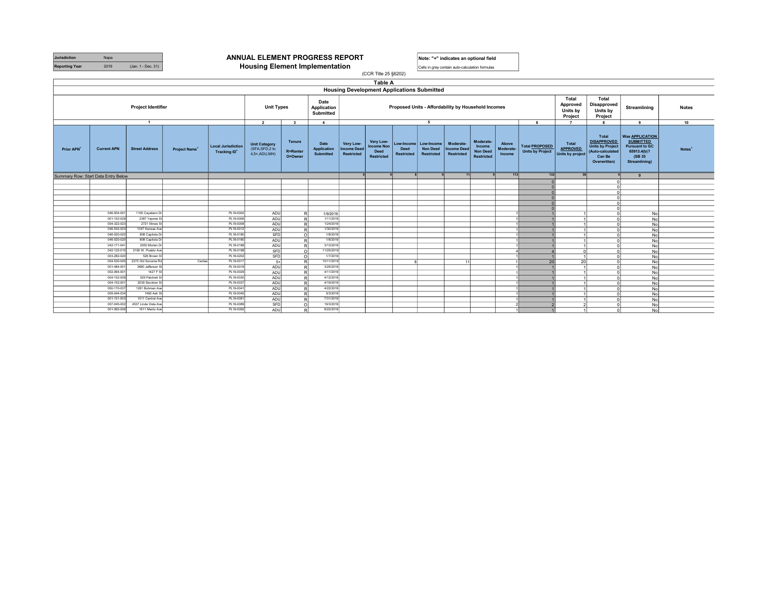| <b>Jurisdiction</b>   | Napa |                   |
|-----------------------|------|-------------------|
| <b>Reporting Year</b> | 2019 | (Jan. 1 - Dec. 31 |

#### **JURISDICTION ANNUAL ELEMENT PROGRESS REPORT** Note: "+" indicates an optional field

**Housing Element Implementation** 

Cells in grey contain auto-calculation formulas

|                                     | <br>$\sim$<br>(CCR Title 25 §6202) |                                |                           |                                                  |                                                           |                                                                                                    |                                  |                                               |                                                                    |                           |                                                        |                                               |                                                      |                              |                                                  |                                              |                                                                                                      |                                                                                                               |                    |
|-------------------------------------|------------------------------------|--------------------------------|---------------------------|--------------------------------------------------|-----------------------------------------------------------|----------------------------------------------------------------------------------------------------|----------------------------------|-----------------------------------------------|--------------------------------------------------------------------|---------------------------|--------------------------------------------------------|-----------------------------------------------|------------------------------------------------------|------------------------------|--------------------------------------------------|----------------------------------------------|------------------------------------------------------------------------------------------------------|---------------------------------------------------------------------------------------------------------------|--------------------|
|                                     |                                    |                                |                           |                                                  |                                                           |                                                                                                    |                                  |                                               | <b>Table A</b>                                                     |                           |                                                        |                                               |                                                      |                              |                                                  |                                              |                                                                                                      |                                                                                                               |                    |
|                                     |                                    |                                |                           |                                                  |                                                           |                                                                                                    |                                  |                                               | <b>Housing Development Applications Submitted</b>                  |                           |                                                        |                                               |                                                      |                              |                                                  |                                              |                                                                                                      |                                                                                                               |                    |
|                                     |                                    | Project Identifier             |                           |                                                  |                                                           | Date<br><b>Unit Types</b><br>Application<br>Submitted<br>$\overline{2}$<br>$\overline{\mathbf{3}}$ |                                  |                                               | Proposed Units - Affordability by Household Incomes                |                           |                                                        |                                               |                                                      |                              |                                                  |                                              | <b>Total</b><br><b>Disapproved</b><br>Units by<br>Project                                            | Streamlining                                                                                                  | <b>Notes</b>       |
|                                     |                                    | $\overline{1}$                 |                           |                                                  |                                                           |                                                                                                    | $\overline{4}$                   |                                               |                                                                    |                           | 5                                                      |                                               |                                                      |                              | 6                                                | $\overline{7}$                               | $\mathbf{a}$                                                                                         | 9                                                                                                             | 10                 |
| Prior APN                           | <b>Current APN</b>                 | <b>Street Address</b>          | Project Name <sup>+</sup> | <b>Local Jurisdiction</b><br><b>Tracking ID*</b> | <b>Unit Category</b><br>(SFA, SFD, 2 to<br>4,5+, ADU, MH) | Tenure<br><b>R=Renter</b><br>O=Owner                                                               | Date<br>Application<br>Submitted | Very Low-<br><b>Income Deed</b><br>Restricted | Very Low-<br><b>Income Non</b><br><b>Deed</b><br><b>Restricted</b> | Deed<br><b>Restricted</b> | Low-Income Low-Income<br><b>Non Deed</b><br>Restricted | Moderate-<br><b>Income Deed</b><br>Restricted | Moderate-<br>Income<br><b>Non Deed</b><br>Restricted | Above<br>Moderate-<br>Income | <b>Total PROPOSED</b><br><b>Units by Project</b> | Total<br><b>APPROVED</b><br>Units by project | Total<br><b>DISAPPROVED</b><br><b>Units by Project</b><br>(Auto-calculated<br>Can Be<br>Overwritten) | <b>Was APPLICATION</b><br><b>SUBMITTED</b><br><b>Pursuant to GC</b><br>65913.4(b)?<br>(SB 35<br>Streamlining) | Notes <sup>+</sup> |
| Summary Row: Start Data Entry Below |                                    |                                |                           |                                                  |                                                           |                                                                                                    |                                  |                                               |                                                                    |                           |                                                        | 11                                            |                                                      | $113$                        | 132                                              | 38                                           |                                                                                                      | $\bullet$                                                                                                     |                    |
|                                     |                                    |                                |                           |                                                  |                                                           |                                                                                                    |                                  |                                               |                                                                    |                           |                                                        |                                               |                                                      |                              |                                                  |                                              |                                                                                                      |                                                                                                               |                    |
|                                     |                                    |                                |                           |                                                  |                                                           |                                                                                                    |                                  |                                               |                                                                    |                           |                                                        |                                               |                                                      |                              |                                                  |                                              |                                                                                                      |                                                                                                               |                    |
|                                     |                                    |                                |                           |                                                  |                                                           |                                                                                                    |                                  |                                               |                                                                    |                           |                                                        |                                               |                                                      |                              |                                                  |                                              |                                                                                                      |                                                                                                               |                    |
|                                     |                                    |                                |                           |                                                  |                                                           |                                                                                                    |                                  |                                               |                                                                    |                           |                                                        |                                               |                                                      |                              |                                                  |                                              |                                                                                                      |                                                                                                               |                    |
|                                     |                                    |                                |                           |                                                  |                                                           |                                                                                                    |                                  |                                               |                                                                    |                           |                                                        |                                               |                                                      |                              |                                                  |                                              |                                                                                                      |                                                                                                               |                    |
|                                     | 046-504-001                        | 1100 Cayetano Dr               |                           | PL19-0002                                        | ADU                                                       | R                                                                                                  | 1/9/2019                         |                                               |                                                                    |                           |                                                        |                                               |                                                      |                              |                                                  |                                              |                                                                                                      | No                                                                                                            |                    |
|                                     | 001-152-029                        | 2387 Yajome St                 |                           | PL19-0006                                        | ADU                                                       | R                                                                                                  | 1/11/2019                        |                                               |                                                                    |                           |                                                        |                                               |                                                      |                              |                                                  |                                              |                                                                                                      | N <sub>o</sub>                                                                                                |                    |
|                                     | 004-322-023                        | 2721 Illinois St               |                           | PL19-0008                                        | ADU                                                       | $\mathbb{R}$                                                                                       | 1/24/201                         |                                               |                                                                    |                           |                                                        |                                               |                                                      |                              |                                                  |                                              |                                                                                                      | No                                                                                                            |                    |
|                                     | 046-542-003                        | 1047 Kansas Ave                |                           | PL19-0012                                        | ADU                                                       | R                                                                                                  | 1/30/2019                        |                                               |                                                                    |                           |                                                        |                                               |                                                      |                              |                                                  |                                              |                                                                                                      | No                                                                                                            |                    |
|                                     | 046-020-020                        | 808 Capitola Dr                |                           | PL18-0180                                        | SFD                                                       | $\circ$                                                                                            | 1/8/2019                         |                                               |                                                                    |                           |                                                        |                                               |                                                      |                              |                                                  |                                              |                                                                                                      | No                                                                                                            |                    |
|                                     | 046-020-020                        | 808 Capitola Dr                |                           | PL18-0180                                        | ADU                                                       | R                                                                                                  | 1/8/2019                         |                                               |                                                                    |                           |                                                        |                                               |                                                      |                              |                                                  |                                              |                                                                                                      | No                                                                                                            |                    |
|                                     | 042-171-041                        | 2050 Morlan Dr                 |                           | PL18-0188                                        | ADU                                                       | R                                                                                                  | 3/13/201                         |                                               |                                                                    |                           |                                                        |                                               |                                                      |                              |                                                  |                                              |                                                                                                      | No                                                                                                            |                    |
|                                     | 042-122-015                        | 2150 W. Pueblo Ave             |                           | PL18-0198                                        | SFD                                                       | $\Omega$                                                                                           | 11/25/201                        |                                               |                                                                    |                           |                                                        |                                               |                                                      |                              |                                                  |                                              |                                                                                                      | No                                                                                                            |                    |
|                                     | 003-282-020                        | 526 Brown St                   |                           | PL18-0202                                        | SFD                                                       | $\circ$                                                                                            | 1/7/201                          |                                               |                                                                    |                           |                                                        |                                               |                                                      |                              |                                                  |                                              |                                                                                                      | No                                                                                                            |                    |
|                                     | 004-530-045                        | 2375 Old Sonoma Ro             | Caritas                   | PL19-0017                                        | $5+$                                                      | $\overline{R}$                                                                                     | 10/11/201                        |                                               |                                                                    |                           |                                                        | 11                                            |                                                      |                              | 20                                               | 20                                           |                                                                                                      | No                                                                                                            |                    |
|                                     | 001-484-001<br>002-064-001         | 3690 Jefferson St<br>1427 F St |                           | PL19-0019<br>PL19-0029                           | ADU                                                       | R                                                                                                  | 3/25/2019<br>4/11/201            |                                               |                                                                    |                           |                                                        |                                               |                                                      |                              |                                                  |                                              |                                                                                                      | No                                                                                                            |                    |
|                                     | 004-152-00                         | 529 Patchett S                 |                           | PL19-0030                                        | ADU<br>ADU                                                | R                                                                                                  | 4/12/201                         |                                               |                                                                    |                           |                                                        |                                               |                                                      |                              |                                                  |                                              |                                                                                                      | No                                                                                                            |                    |
|                                     | 004-152-00                         | 2039 Stockton S                |                           | PL19-0037                                        | ADU                                                       | R                                                                                                  | 4/19/201                         |                                               |                                                                    |                           |                                                        |                                               |                                                      |                              |                                                  |                                              |                                                                                                      | No                                                                                                            |                    |
|                                     | 050-170-03                         | 1261 Buhman Ave                |                           | PL19-0041                                        | ADU                                                       | $\overline{R}$<br>R                                                                                | 4/22/2019                        |                                               |                                                                    |                           |                                                        |                                               |                                                      |                              |                                                  |                                              |                                                                                                      | No                                                                                                            |                    |
|                                     | 005-044-034                        | 1490 Ash St                    |                           | PL19-0045                                        | ADU                                                       | R                                                                                                  | 5/3/201                          |                                               |                                                                    |                           |                                                        |                                               |                                                      |                              |                                                  |                                              |                                                                                                      | No<br>No                                                                                                      |                    |
|                                     | 001-151-003                        | 1011 Central Ave               |                           | PL19-0081                                        | ADU                                                       | R                                                                                                  | 7/31/2019                        |                                               |                                                                    |                           |                                                        |                                               |                                                      |                              |                                                  |                                              |                                                                                                      | No                                                                                                            |                    |
|                                     | 007-045-002                        | 4537 Linda Vista Ave           |                           | PL19-0089                                        | SFD                                                       | $\circ$                                                                                            | 10/3/201                         |                                               |                                                                    |                           |                                                        |                                               |                                                      |                              |                                                  |                                              |                                                                                                      | No                                                                                                            |                    |
|                                     | 001-065-006                        | 1611 Menlo Ave                 |                           | PL19-0092                                        | ADU                                                       | R.                                                                                                 | 8/22/2019                        |                                               |                                                                    |                           |                                                        |                                               |                                                      |                              |                                                  |                                              |                                                                                                      | No                                                                                                            |                    |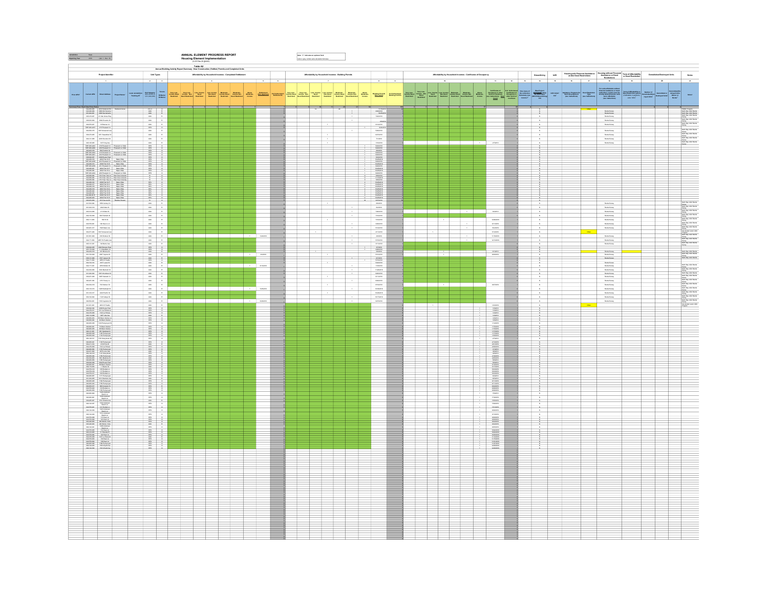|  |                                                                                                                                                                                                                                                                                                                                                       |                                                                                                                                             |                                               |                                                                                                                                                                                                                                                                                                            |             |  |  | ANNUAL ELEMENT PROGRESS REPORT<br>Housing Element Implementation<br>(CCR T8s 25 §6202) |  |                 | .<br>Note: "Y" Indicates an optional field<br>Cells in one contain autocomatation forma                        |                                                       |  |                                                                                                                                                                                                                                                    |  |  |                                                                |               |                                                                                                                                                                                                                                                                                                                                                               |  |                                                |                             |                                                          |                                                                                                                                                                                                                                                                                                                                                 |                                                                                                                                                                                                                                                                                                                                                                                                                                       |                            |                                                     |                                                                                                                                                                                                                                                                                                                                                                                                                                                             |
|--|-------------------------------------------------------------------------------------------------------------------------------------------------------------------------------------------------------------------------------------------------------------------------------------------------------------------------------------------------------|---------------------------------------------------------------------------------------------------------------------------------------------|-----------------------------------------------|------------------------------------------------------------------------------------------------------------------------------------------------------------------------------------------------------------------------------------------------------------------------------------------------------------|-------------|--|--|----------------------------------------------------------------------------------------|--|-----------------|----------------------------------------------------------------------------------------------------------------|-------------------------------------------------------|--|----------------------------------------------------------------------------------------------------------------------------------------------------------------------------------------------------------------------------------------------------|--|--|----------------------------------------------------------------|---------------|---------------------------------------------------------------------------------------------------------------------------------------------------------------------------------------------------------------------------------------------------------------------------------------------------------------------------------------------------------------|--|------------------------------------------------|-----------------------------|----------------------------------------------------------|-------------------------------------------------------------------------------------------------------------------------------------------------------------------------------------------------------------------------------------------------------------------------------------------------------------------------------------------------|---------------------------------------------------------------------------------------------------------------------------------------------------------------------------------------------------------------------------------------------------------------------------------------------------------------------------------------------------------------------------------------------------------------------------------------|----------------------------|-----------------------------------------------------|-------------------------------------------------------------------------------------------------------------------------------------------------------------------------------------------------------------------------------------------------------------------------------------------------------------------------------------------------------------------------------------------------------------------------------------------------------------|
|  |                                                                                                                                                                                                                                                                                                                                                       |                                                                                                                                             |                                               |                                                                                                                                                                                                                                                                                                            |             |  |  | Table A2<br>- New Construction, Entitled, Permits and Completed Units                  |  |                 |                                                                                                                |                                                       |  |                                                                                                                                                                                                                                                    |  |  |                                                                |               |                                                                                                                                                                                                                                                                                                                                                               |  |                                                |                             |                                                          |                                                                                                                                                                                                                                                                                                                                                 |                                                                                                                                                                                                                                                                                                                                                                                                                                       |                            |                                                     |                                                                                                                                                                                                                                                                                                                                                                                                                                                             |
|  | Project Identifie                                                                                                                                                                                                                                                                                                                                     |                                                                                                                                             |                                               | $\texttt{UnitType}$                                                                                                                                                                                                                                                                                        |             |  |  | Affordability by Household Incomes - Completed Entitiement                             |  |                 |                                                                                                                | Affordability by Household Incomes - Building Permits |  |                                                                                                                                                                                                                                                    |  |  | Affordability by Household Incomes - Certificates of Occupancy |               |                                                                                                                                                                                                                                                                                                                                                               |  | Streamlining                                   |                             |                                                          | $\begin{tabular}{ll} intall & Heuning with Fianchi Aantinacae & \textit{Mouning without Fannchi & \textit{Term of } Mtostability\\ \textit{andive Dued Rantirikicae} & \textit{Aantirikicae} & \textit{Bautirikicae} \\ & \textit{Bautirikicae} & \textit{Bautirikicae} \\ \hline u & \textit{tr} & \textit{tr} & \textit{tr} \\ \end{tabular}$ |                                                                                                                                                                                                                                                                                                                                                                                                                                       | Demolished/Destroyed Units |                                                     | $_{\rm N0568}$                                                                                                                                                                                                                                                                                                                                                                                                                                              |
|  |                                                                                                                                                                                                                                                                                                                                                       |                                                                                                                                             |                                               |                                                                                                                                                                                                                                                                                                            |             |  |  |                                                                                        |  |                 |                                                                                                                |                                                       |  |                                                                                                                                                                                                                                                    |  |  | $\overline{a}$                                                 |               |                                                                                                                                                                                                                                                                                                                                                               |  |                                                |                             |                                                          |                                                                                                                                                                                                                                                                                                                                                 |                                                                                                                                                                                                                                                                                                                                                                                                                                       |                            |                                                     | $\overline{\phantom{a}}$                                                                                                                                                                                                                                                                                                                                                                                                                                    |
|  |                                                                                                                                                                                                                                                                                                                                                       |                                                                                                                                             | niai Jurisdinikan<br>Tradhing ID <sup>r</sup> | $\begin{array}{ l c c c }\hline \text{Diff Gauge} \hline \text{G}} \hline \text{G} & \text{Stabular} \\\hline \text{GFA}, \text{HFG} \hline \text{G} & \text{Stabular} \\\hline \text{G} & \text{G} \hline \text{G} & \text{G} \hline \text{G} & \text{G} \hline \text{G} & \text{G} \\\hline \end{array}$ | <b>Size</b> |  |  |                                                                                        |  |                 | the life of the second second second the second second second second second second second second second second |                                                       |  |                                                                                                                                                                                                                                                    |  |  |                                                                |               |                                                                                                                                                                                                                                                                                                                                                               |  |                                                | warsana<br>Tan <sup>a</sup> | Each Development<br>One Instructions) (her Instructions) | For antis affordable without financial assistance or dend<br>multipliers, explain here the localizers, explain here with<br>$\frac{1}{2}$ and antisotic financial financial density<br>$\frac{1}{2}$ mass affordable                                                                                                                            | $\begin{array}{l} \textbf{Term} \text{ of } \textbf{A} \textbf{B} \textbf{m} \textbf{c} \textbf{A} \textbf{a} \textbf{c} \textbf{d} \textbf{b} \textbf{c} \textbf{b} \textbf{y} \\ \textbf{D} \textbf{a} \textbf{a} \textbf{d} \textbf{B} \textbf{a} \textbf{b} \textbf{b} \textbf{b} \textbf{b} \textbf{b} \textbf{b} \textbf{b} \textbf{c} \textbf{b} \textbf{c} \textbf{b} \textbf{c} \\ \textbf{if } \textbf{a} \textbf{B} \text$ | <b>Ford Shop</b>           | Demolided De<br>Ony of Units<br>On tax or<br>Restar | $\sim$                                                                                                                                                                                                                                                                                                                                                                                                                                                      |
|  | tat Data Gritty Sielba<br>  1921–1930   2011 Findessal Fall   Findessal Doun<br>$\begin{tabular}{ c c c c c c } \hline & 0.01399 & 0.0139 & 0.0000 & 0.0000 & 0.0000 & 0.0000 & 0.0000 & 0.0000 & 0.0000 & 0.0000 & 0.0000 & 0.0000 & 0.0000 & 0.0000 & 0.0000 & 0.0000 & 0.0000 & 0.0000 & 0.0000 & 0.0000 & 0.0000 & 0.0000 & 0.0000 & 0.0000 & 0.$ |                                                                                                                                             |                                               |                                                                                                                                                                                                                                                                                                            |             |  |  |                                                                                        |  |                 |                                                                                                                |                                                       |  | 11362<br>$\begin{array}{r} 1136228 \\ \times 1134228 \\ \hline 1236288 \\ \end{array}$                                                                                                                                                             |  |  |                                                                |               |                                                                                                                                                                                                                                                                                                                                                               |  | ÷                                              |                             |                                                          | Note Young<br>Perist Europy<br>Perist Europy                                                                                                                                                                                                                                                                                                    |                                                                                                                                                                                                                                                                                                                                                                                                                                       |                            |                                                     |                                                                                                                                                                                                                                                                                                                                                                                                                                                             |
|  |                                                                                                                                                                                                                                                                                                                                                       |                                                                                                                                             |                                               |                                                                                                                                                                                                                                                                                                            |             |  |  |                                                                                        |  |                 |                                                                                                                |                                                       |  |                                                                                                                                                                                                                                                    |  |  |                                                                |               |                                                                                                                                                                                                                                                                                                                                                               |  | $\sim$<br>$\sim$                               |                             |                                                          | -<br>Pentat Suray<br>-<br>Pentat Suray                                                                                                                                                                                                                                                                                                          |                                                                                                                                                                                                                                                                                                                                                                                                                                       |                            |                                                     |                                                                                                                                                                                                                                                                                                                                                                                                                                                             |
|  |                                                                                                                                                                                                                                                                                                                                                       |                                                                                                                                             |                                               |                                                                                                                                                                                                                                                                                                            |             |  |  |                                                                                        |  |                 |                                                                                                                |                                                       |  | $\begin{array}{r} \hline \multicolumn{3}{r}{\text{max}} \\ \hline 0.12331 \\ \multicolumn{3}{r}{\text{max}} \\ \multicolumn{3}{r}{\text{max}} \\ \hline 0.33331 \\ \multicolumn{3}{r}{\text{max}} \\ \hline 0.23331 \\ \hline 0.27331 \end{array}$ |  |  |                                                                |               |                                                                                                                                                                                                                                                                                                                                                               |  | $\mathcal{N}$                                  |                             |                                                          | <b>Netal Suray</b>                                                                                                                                                                                                                                                                                                                              |                                                                                                                                                                                                                                                                                                                                                                                                                                       |                            |                                                     |                                                                                                                                                                                                                                                                                                                                                                                                                                                             |
|  |                                                                                                                                                                                                                                                                                                                                                       |                                                                                                                                             |                                               |                                                                                                                                                                                                                                                                                                            |             |  |  |                                                                                        |  |                 |                                                                                                                |                                                       |  |                                                                                                                                                                                                                                                    |  |  |                                                                |               |                                                                                                                                                                                                                                                                                                                                                               |  | $\frac{\pi}{\pi}$                              |                             |                                                          | $\operatorname{\mathsf{Nock}\,Bary}\nolimits$                                                                                                                                                                                                                                                                                                   |                                                                                                                                                                                                                                                                                                                                                                                                                                       |                            |                                                     |                                                                                                                                                                                                                                                                                                                                                                                                                                                             |
|  | $\begin{tabular}{ c c c c c c } \hline & $0.00000 & $0.000000 & $0.000000 & $0.000000 & $0.000000 & $0.000000 & $0.00000 & $0.00000 & $0.00000 & $0.00000 & $0.00000 & $0.00000 & $0.00000 & $0.00000 & $0.00000 & $0.00000 & $0.00000 & $0.00000 & $0.00000 & $0.00000 & $0.00000 & $0$                                                              |                                                                                                                                             |                                               |                                                                                                                                                                                                                                                                                                            |             |  |  |                                                                                        |  |                 |                                                                                                                | $\rightarrow$<br>$\sim$                               |  | $rac{1}{10000}$                                                                                                                                                                                                                                    |  |  |                                                                |               | $_{\rm 27229}$                                                                                                                                                                                                                                                                                                                                                |  | $\mathbf{v}$<br>$\mathcal{H}$                  |                             |                                                          | -<br>Period Europy<br>-<br>Period Europy                                                                                                                                                                                                                                                                                                        |                                                                                                                                                                                                                                                                                                                                                                                                                                       |                            |                                                     |                                                                                                                                                                                                                                                                                                                                                                                                                                                             |
|  |                                                                                                                                                                                                                                                                                                                                                       |                                                                                                                                             |                                               |                                                                                                                                                                                                                                                                                                            |             |  |  |                                                                                        |  |                 |                                                                                                                |                                                       |  |                                                                                                                                                                                                                                                    |  |  |                                                                |               |                                                                                                                                                                                                                                                                                                                                                               |  |                                                |                             |                                                          |                                                                                                                                                                                                                                                                                                                                                 |                                                                                                                                                                                                                                                                                                                                                                                                                                       |                            |                                                     |                                                                                                                                                                                                                                                                                                                                                                                                                                                             |
|  |                                                                                                                                                                                                                                                                                                                                                       | <b>Thursd Lt Tide</b><br>Fleesard Lt Tide                                                                                                   |                                               |                                                                                                                                                                                                                                                                                                            |             |  |  |                                                                                        |  |                 |                                                                                                                |                                                       |  |                                                                                                                                                                                                                                                    |  |  |                                                                |               |                                                                                                                                                                                                                                                                                                                                                               |  |                                                |                             |                                                          |                                                                                                                                                                                                                                                                                                                                                 |                                                                                                                                                                                                                                                                                                                                                                                                                                       |                            |                                                     |                                                                                                                                                                                                                                                                                                                                                                                                                                                             |
|  |                                                                                                                                                                                                                                                                                                                                                       | New York<br>Financel Lo The<br>New York<br>Financel Lo The<br>New York<br>Please In Clearly<br>Please The<br>Clearly<br>New York<br>Clearly |                                               |                                                                                                                                                                                                                                                                                                            |             |  |  |                                                                                        |  |                 |                                                                                                                |                                                       |  |                                                                                                                                                                                                                                                    |  |  |                                                                |               |                                                                                                                                                                                                                                                                                                                                                               |  |                                                |                             |                                                          |                                                                                                                                                                                                                                                                                                                                                 |                                                                                                                                                                                                                                                                                                                                                                                                                                       |                            |                                                     |                                                                                                                                                                                                                                                                                                                                                                                                                                                             |
|  |                                                                                                                                                                                                                                                                                                                                                       |                                                                                                                                             |                                               |                                                                                                                                                                                                                                                                                                            |             |  |  |                                                                                        |  |                 |                                                                                                                |                                                       |  |                                                                                                                                                                                                                                                    |  |  |                                                                |               |                                                                                                                                                                                                                                                                                                                                                               |  |                                                |                             |                                                          |                                                                                                                                                                                                                                                                                                                                                 |                                                                                                                                                                                                                                                                                                                                                                                                                                       |                            |                                                     |                                                                                                                                                                                                                                                                                                                                                                                                                                                             |
|  |                                                                                                                                                                                                                                                                                                                                                       |                                                                                                                                             |                                               |                                                                                                                                                                                                                                                                                                            |             |  |  |                                                                                        |  |                 |                                                                                                                |                                                       |  |                                                                                                                                                                                                                                                    |  |  |                                                                |               |                                                                                                                                                                                                                                                                                                                                                               |  |                                                |                             |                                                          |                                                                                                                                                                                                                                                                                                                                                 |                                                                                                                                                                                                                                                                                                                                                                                                                                       |                            |                                                     |                                                                                                                                                                                                                                                                                                                                                                                                                                                             |
|  |                                                                                                                                                                                                                                                                                                                                                       | Pear Tree Critics<br>New York<br>New York<br>New York<br>New York<br>New York<br>New York<br>New York<br>New York<br>New York               |                                               |                                                                                                                                                                                                                                                                                                            |             |  |  |                                                                                        |  |                 |                                                                                                                |                                                       |  |                                                                                                                                                                                                                                                    |  |  |                                                                |               |                                                                                                                                                                                                                                                                                                                                                               |  |                                                |                             |                                                          |                                                                                                                                                                                                                                                                                                                                                 |                                                                                                                                                                                                                                                                                                                                                                                                                                       |                            |                                                     |                                                                                                                                                                                                                                                                                                                                                                                                                                                             |
|  |                                                                                                                                                                                                                                                                                                                                                       |                                                                                                                                             |                                               |                                                                                                                                                                                                                                                                                                            |             |  |  |                                                                                        |  |                 |                                                                                                                |                                                       |  |                                                                                                                                                                                                                                                    |  |  |                                                                |               |                                                                                                                                                                                                                                                                                                                                                               |  |                                                |                             |                                                          |                                                                                                                                                                                                                                                                                                                                                 |                                                                                                                                                                                                                                                                                                                                                                                                                                       |                            |                                                     |                                                                                                                                                                                                                                                                                                                                                                                                                                                             |
|  |                                                                                                                                                                                                                                                                                                                                                       |                                                                                                                                             |                                               |                                                                                                                                                                                                                                                                                                            |             |  |  |                                                                                        |  |                 |                                                                                                                |                                                       |  |                                                                                                                                                                                                                                                    |  |  |                                                                |               |                                                                                                                                                                                                                                                                                                                                                               |  | $\boldsymbol{\pi}$                             |                             |                                                          | <b>Nedat Survey</b>                                                                                                                                                                                                                                                                                                                             |                                                                                                                                                                                                                                                                                                                                                                                                                                       |                            |                                                     |                                                                                                                                                                                                                                                                                                                                                                                                                                                             |
|  |                                                                                                                                                                                                                                                                                                                                                       |                                                                                                                                             |                                               |                                                                                                                                                                                                                                                                                                            |             |  |  |                                                                                        |  |                 |                                                                                                                |                                                       |  | -<br>-<br>-<br>-<br>-<br>-                                                                                                                                                                                                                         |  |  |                                                                |               | 82219                                                                                                                                                                                                                                                                                                                                                         |  | $\sim$ $\sim$<br>$\sim$                        |                             |                                                          | -<br>Perist Europy<br>-<br>Perist Europy                                                                                                                                                                                                                                                                                                        |                                                                                                                                                                                                                                                                                                                                                                                                                                       |                            |                                                     |                                                                                                                                                                                                                                                                                                                                                                                                                                                             |
|  | 003-014-036 2119 Main 31<br>003-112-039 2019 2019 404-04 31<br>003-111-039 2019 1021 81<br>043-125-031 2021 944-04 404<br>004-01-012 2021 945-04 404<br>004-01-012 2021 945-04 404<br>004-01-012                                                                                                                                                      |                                                                                                                                             |                                               |                                                                                                                                                                                                                                                                                                            |             |  |  |                                                                                        |  |                 |                                                                                                                |                                                       |  | $\begin{array}{r} \begin{array}{c} \text{20000} \\ \text{20000} \\ \text{20000} \\ \text{20000} \\ \text{20000} \end{array} \end{array}$                                                                                                           |  |  | $\sim$ 100 $\pm$                                               |               |                                                                                                                                                                                                                                                                                                                                                               |  | $\sim$ $\kappa$<br>$\sim$                      |                             |                                                          | Perist Europy<br>Perist Europy<br>Perist Europy<br>Perist Europy                                                                                                                                                                                                                                                                                |                                                                                                                                                                                                                                                                                                                                                                                                                                       |                            |                                                     | $\begin{tabular}{ c c c c } \hline &\\ \hline \textbf{block} & \textbf{Big} & \textbf{AG} & \textbf{Dess} \\ \hline \textbf{block} & \textbf{Big} & \textbf{AG} & \textbf{Dess} \\ \hline \textbf{Big} & \textbf{Big} & \textbf{AG} & \textbf{Dess} \\ \hline \textbf{Big} & \textbf{Big} & \textbf{Big} & \textbf{AG} & \textbf{Dess} \\ \hline \textbf{Big} & \textbf{Big} & \textbf{Big} & \textbf{Big} & \textbf{Big} \\ \hline \textbf{Big} & \textbf$ |
|  |                                                                                                                                                                                                                                                                                                                                                       |                                                                                                                                             |                                               |                                                                                                                                                                                                                                                                                                            |             |  |  |                                                                                        |  |                 |                                                                                                                |                                                       |  |                                                                                                                                                                                                                                                    |  |  |                                                                |               | 411223<br>102223<br>114223                                                                                                                                                                                                                                                                                                                                    |  | $\sim$ $\sim$<br>$\sim$                        |                             |                                                          |                                                                                                                                                                                                                                                                                                                                                 |                                                                                                                                                                                                                                                                                                                                                                                                                                       |                            |                                                     |                                                                                                                                                                                                                                                                                                                                                                                                                                                             |
|  |                                                                                                                                                                                                                                                                                                                                                       |                                                                                                                                             |                                               |                                                                                                                                                                                                                                                                                                            |             |  |  |                                                                                        |  | 322201          |                                                                                                                |                                                       |  | 415209                                                                                                                                                                                                                                             |  |  |                                                                | $\mathcal{A}$ |                                                                                                                                                                                                                                                                                                                                                               |  | $\sim$ $\kappa$<br>$\sim$                      |                             |                                                          | <b>Nestal Survey</b>                                                                                                                                                                                                                                                                                                                            |                                                                                                                                                                                                                                                                                                                                                                                                                                       |                            |                                                     |                                                                                                                                                                                                                                                                                                                                                                                                                                                             |
|  |                                                                                                                                                                                                                                                                                                                                                       |                                                                                                                                             |                                               |                                                                                                                                                                                                                                                                                                            |             |  |  |                                                                                        |  |                 |                                                                                                                |                                                       |  | $\begin{array}{r} 4.93278 \\ 8.793278 \\ 3.713328 \end{array}$                                                                                                                                                                                     |  |  |                                                                |               | $\frac{1178209}{1278209}$                                                                                                                                                                                                                                                                                                                                     |  | $\sim$<br>$\sim$                               |                             |                                                          | -<br>Period Europy<br>-<br>Period Europy                                                                                                                                                                                                                                                                                                        |                                                                                                                                                                                                                                                                                                                                                                                                                                       |                            |                                                     |                                                                                                                                                                                                                                                                                                                                                                                                                                                             |
|  |                                                                                                                                                                                                                                                                                                                                                       |                                                                                                                                             |                                               |                                                                                                                                                                                                                                                                                                            |             |  |  |                                                                                        |  |                 |                                                                                                                |                                                       |  |                                                                                                                                                                                                                                                    |  |  |                                                                |               |                                                                                                                                                                                                                                                                                                                                                               |  |                                                |                             |                                                          |                                                                                                                                                                                                                                                                                                                                                 |                                                                                                                                                                                                                                                                                                                                                                                                                                       |                            |                                                     |                                                                                                                                                                                                                                                                                                                                                                                                                                                             |
|  |                                                                                                                                                                                                                                                                                                                                                       |                                                                                                                                             |                                               |                                                                                                                                                                                                                                                                                                            |             |  |  |                                                                                        |  | $rac{1}{2}$     |                                                                                                                |                                                       |  |                                                                                                                                                                                                                                                    |  |  |                                                                |               | $\frac{1}{100000}$                                                                                                                                                                                                                                                                                                                                            |  | $\frac{N}{N}$                                  |                             |                                                          | -<br>Redat Sutey<br>-<br>Redat Sutey<br>-                                                                                                                                                                                                                                                                                                       |                                                                                                                                                                                                                                                                                                                                                                                                                                       |                            |                                                     | North Bay ADU Reedal<br>North Bay ADU Reedal<br>Zoney<br>North Bay ADU Reedal                                                                                                                                                                                                                                                                                                                                                                               |
|  |                                                                                                                                                                                                                                                                                                                                                       |                                                                                                                                             |                                               |                                                                                                                                                                                                                                                                                                            |             |  |  |                                                                                        |  | $_{\rm{swass}}$ |                                                                                                                |                                                       |  |                                                                                                                                                                                                                                                    |  |  |                                                                |               |                                                                                                                                                                                                                                                                                                                                                               |  |                                                |                             |                                                          | <b>Medal Subay<br/>Redal Subay<br/>Redal Subay</b><br>Nedal Subay                                                                                                                                                                                                                                                                               |                                                                                                                                                                                                                                                                                                                                                                                                                                       |                            |                                                     |                                                                                                                                                                                                                                                                                                                                                                                                                                                             |
|  |                                                                                                                                                                                                                                                                                                                                                       |                                                                                                                                             |                                               |                                                                                                                                                                                                                                                                                                            |             |  |  |                                                                                        |  |                 |                                                                                                                |                                                       |  |                                                                                                                                                                                                                                                    |  |  |                                                                |               |                                                                                                                                                                                                                                                                                                                                                               |  | $\frac{N}{N}$                                  |                             |                                                          |                                                                                                                                                                                                                                                                                                                                                 |                                                                                                                                                                                                                                                                                                                                                                                                                                       |                            |                                                     |                                                                                                                                                                                                                                                                                                                                                                                                                                                             |
|  |                                                                                                                                                                                                                                                                                                                                                       |                                                                                                                                             |                                               |                                                                                                                                                                                                                                                                                                            |             |  |  |                                                                                        |  |                 |                                                                                                                |                                                       |  | $\begin{array}{r} 0.152091 \\ 0.295291 \\ 0.193091 \end{array}$                                                                                                                                                                                    |  |  |                                                                |               |                                                                                                                                                                                                                                                                                                                                                               |  | $\sim$<br>$\sim$ $\kappa$                      |                             |                                                          | Texts Europy<br>Perist Europy<br>Perist Europy<br>Perist Europy<br>Perist Europy                                                                                                                                                                                                                                                                |                                                                                                                                                                                                                                                                                                                                                                                                                                       |                            |                                                     |                                                                                                                                                                                                                                                                                                                                                                                                                                                             |
|  |                                                                                                                                                                                                                                                                                                                                                       |                                                                                                                                             |                                               |                                                                                                                                                                                                                                                                                                            |             |  |  |                                                                                        |  | avaore          |                                                                                                                |                                                       |  |                                                                                                                                                                                                                                                    |  |  |                                                                |               | n23229                                                                                                                                                                                                                                                                                                                                                        |  | $\sim$<br>$\sim$ 10 $\%$                       |                             |                                                          |                                                                                                                                                                                                                                                                                                                                                 |                                                                                                                                                                                                                                                                                                                                                                                                                                       |                            |                                                     |                                                                                                                                                                                                                                                                                                                                                                                                                                                             |
|  |                                                                                                                                                                                                                                                                                                                                                       |                                                                                                                                             |                                               |                                                                                                                                                                                                                                                                                                            |             |  |  |                                                                                        |  |                 |                                                                                                                |                                                       |  |                                                                                                                                                                                                                                                    |  |  |                                                                |               |                                                                                                                                                                                                                                                                                                                                                               |  | $\sim$<br>$\sim$ $\sim$                        |                             |                                                          | $\operatorname{\mathsf{Rock}\,Bary}\nolimits$                                                                                                                                                                                                                                                                                                   |                                                                                                                                                                                                                                                                                                                                                                                                                                       |                            |                                                     |                                                                                                                                                                                                                                                                                                                                                                                                                                                             |
|  |                                                                                                                                                                                                                                                                                                                                                       |                                                                                                                                             |                                               |                                                                                                                                                                                                                                                                                                            |             |  |  |                                                                                        |  | 3202018         |                                                                                                                |                                                       |  | $_{\rm 627209}$                                                                                                                                                                                                                                    |  |  |                                                                |               |                                                                                                                                                                                                                                                                                                                                                               |  | $\sim$                                         |                             |                                                          | <b>Netal Suray</b>                                                                                                                                                                                                                                                                                                                              |                                                                                                                                                                                                                                                                                                                                                                                                                                       |                            |                                                     |                                                                                                                                                                                                                                                                                                                                                                                                                                                             |
|  |                                                                                                                                                                                                                                                                                                                                                       |                                                                                                                                             |                                               |                                                                                                                                                                                                                                                                                                            |             |  |  |                                                                                        |  |                 |                                                                                                                |                                                       |  |                                                                                                                                                                                                                                                    |  |  |                                                                |               | 1993年 - 1992年 - 1993年 - 1993年 - 1993年 - 1993年 - 1993年 - 1993年 - 1993年 - 1993年 - 1993年 - 1993年 - 1993年 - 1993年 - 1993年 - 1993年 - 1993年 - 1993年 - 1993年 - 1993年 - 1993年 - 1993年 - 1993年 - 1993年 - 1993年 - 1993年 - 1993年 - 1993年                                                                                                                                 |  | $\frac{1}{2}$                                  |                             |                                                          |                                                                                                                                                                                                                                                                                                                                                 |                                                                                                                                                                                                                                                                                                                                                                                                                                       |                            |                                                     |                                                                                                                                                                                                                                                                                                                                                                                                                                                             |
|  |                                                                                                                                                                                                                                                                                                                                                       |                                                                                                                                             |                                               |                                                                                                                                                                                                                                                                                                            |             |  |  |                                                                                        |  |                 |                                                                                                                |                                                       |  |                                                                                                                                                                                                                                                    |  |  |                                                                |               |                                                                                                                                                                                                                                                                                                                                                               |  |                                                |                             |                                                          |                                                                                                                                                                                                                                                                                                                                                 |                                                                                                                                                                                                                                                                                                                                                                                                                                       |                            |                                                     |                                                                                                                                                                                                                                                                                                                                                                                                                                                             |
|  |                                                                                                                                                                                                                                                                                                                                                       |                                                                                                                                             |                                               |                                                                                                                                                                                                                                                                                                            |             |  |  |                                                                                        |  |                 |                                                                                                                |                                                       |  |                                                                                                                                                                                                                                                    |  |  |                                                                |               |                                                                                                                                                                                                                                                                                                                                                               |  | $\sim$<br>$\sim$                               |                             |                                                          |                                                                                                                                                                                                                                                                                                                                                 |                                                                                                                                                                                                                                                                                                                                                                                                                                       |                            |                                                     |                                                                                                                                                                                                                                                                                                                                                                                                                                                             |
|  |                                                                                                                                                                                                                                                                                                                                                       |                                                                                                                                             |                                               |                                                                                                                                                                                                                                                                                                            |             |  |  |                                                                                        |  |                 |                                                                                                                |                                                       |  |                                                                                                                                                                                                                                                    |  |  |                                                                |               |                                                                                                                                                                                                                                                                                                                                                               |  |                                                |                             |                                                          |                                                                                                                                                                                                                                                                                                                                                 |                                                                                                                                                                                                                                                                                                                                                                                                                                       |                            |                                                     |                                                                                                                                                                                                                                                                                                                                                                                                                                                             |
|  |                                                                                                                                                                                                                                                                                                                                                       |                                                                                                                                             |                                               |                                                                                                                                                                                                                                                                                                            |             |  |  |                                                                                        |  |                 |                                                                                                                |                                                       |  |                                                                                                                                                                                                                                                    |  |  |                                                                |               |                                                                                                                                                                                                                                                                                                                                                               |  |                                                |                             |                                                          |                                                                                                                                                                                                                                                                                                                                                 |                                                                                                                                                                                                                                                                                                                                                                                                                                       |                            |                                                     |                                                                                                                                                                                                                                                                                                                                                                                                                                                             |
|  |                                                                                                                                                                                                                                                                                                                                                       |                                                                                                                                             |                                               |                                                                                                                                                                                                                                                                                                            |             |  |  |                                                                                        |  |                 |                                                                                                                |                                                       |  |                                                                                                                                                                                                                                                    |  |  |                                                                |               |                                                                                                                                                                                                                                                                                                                                                               |  |                                                |                             |                                                          |                                                                                                                                                                                                                                                                                                                                                 |                                                                                                                                                                                                                                                                                                                                                                                                                                       |                            |                                                     |                                                                                                                                                                                                                                                                                                                                                                                                                                                             |
|  |                                                                                                                                                                                                                                                                                                                                                       |                                                                                                                                             |                                               |                                                                                                                                                                                                                                                                                                            |             |  |  |                                                                                        |  |                 |                                                                                                                |                                                       |  |                                                                                                                                                                                                                                                    |  |  |                                                                |               |                                                                                                                                                                                                                                                                                                                                                               |  |                                                |                             |                                                          |                                                                                                                                                                                                                                                                                                                                                 |                                                                                                                                                                                                                                                                                                                                                                                                                                       |                            |                                                     |                                                                                                                                                                                                                                                                                                                                                                                                                                                             |
|  |                                                                                                                                                                                                                                                                                                                                                       |                                                                                                                                             |                                               |                                                                                                                                                                                                                                                                                                            |             |  |  |                                                                                        |  |                 |                                                                                                                |                                                       |  |                                                                                                                                                                                                                                                    |  |  |                                                                |               |                                                                                                                                                                                                                                                                                                                                                               |  |                                                |                             |                                                          |                                                                                                                                                                                                                                                                                                                                                 |                                                                                                                                                                                                                                                                                                                                                                                                                                       |                            |                                                     |                                                                                                                                                                                                                                                                                                                                                                                                                                                             |
|  |                                                                                                                                                                                                                                                                                                                                                       |                                                                                                                                             |                                               |                                                                                                                                                                                                                                                                                                            |             |  |  |                                                                                        |  |                 |                                                                                                                |                                                       |  |                                                                                                                                                                                                                                                    |  |  |                                                                |               |                                                                                                                                                                                                                                                                                                                                                               |  |                                                |                             |                                                          |                                                                                                                                                                                                                                                                                                                                                 |                                                                                                                                                                                                                                                                                                                                                                                                                                       |                            |                                                     |                                                                                                                                                                                                                                                                                                                                                                                                                                                             |
|  |                                                                                                                                                                                                                                                                                                                                                       |                                                                                                                                             |                                               |                                                                                                                                                                                                                                                                                                            |             |  |  |                                                                                        |  |                 |                                                                                                                |                                                       |  |                                                                                                                                                                                                                                                    |  |  |                                                                |               |                                                                                                                                                                                                                                                                                                                                                               |  |                                                |                             |                                                          |                                                                                                                                                                                                                                                                                                                                                 |                                                                                                                                                                                                                                                                                                                                                                                                                                       |                            |                                                     |                                                                                                                                                                                                                                                                                                                                                                                                                                                             |
|  |                                                                                                                                                                                                                                                                                                                                                       |                                                                                                                                             |                                               |                                                                                                                                                                                                                                                                                                            |             |  |  |                                                                                        |  |                 |                                                                                                                |                                                       |  |                                                                                                                                                                                                                                                    |  |  |                                                                |               |                                                                                                                                                                                                                                                                                                                                                               |  |                                                |                             |                                                          |                                                                                                                                                                                                                                                                                                                                                 |                                                                                                                                                                                                                                                                                                                                                                                                                                       |                            |                                                     |                                                                                                                                                                                                                                                                                                                                                                                                                                                             |
|  |                                                                                                                                                                                                                                                                                                                                                       |                                                                                                                                             |                                               |                                                                                                                                                                                                                                                                                                            |             |  |  |                                                                                        |  |                 |                                                                                                                |                                                       |  |                                                                                                                                                                                                                                                    |  |  |                                                                |               |                                                                                                                                                                                                                                                                                                                                                               |  | $\mathcal{H}$                                  |                             |                                                          |                                                                                                                                                                                                                                                                                                                                                 |                                                                                                                                                                                                                                                                                                                                                                                                                                       |                            |                                                     |                                                                                                                                                                                                                                                                                                                                                                                                                                                             |
|  |                                                                                                                                                                                                                                                                                                                                                       |                                                                                                                                             |                                               |                                                                                                                                                                                                                                                                                                            |             |  |  |                                                                                        |  |                 |                                                                                                                |                                                       |  |                                                                                                                                                                                                                                                    |  |  |                                                                |               | $\begin{array}{r} \text{N1023B} \\ \text{N2023B} \\ \text{N2023B} \\ \text{N2023B} \\ \text{N2023B} \\ \text{N2023B} \\ \text{N2023B} \\ \text{N2023B} \\ \text{N2023B} \\ \text{N2023B} \\ \text{N2023B} \\ \text{N2023B} \\ \text{N2023B} \\ \text{N2023B} \\ \text{N2023B} \\ \text{N2023B} \\ \text{N2023B} \\ \text{N2023B} \\ \text{N2023B} \\ \text{N$ |  | $\frac{N}{N}$                                  |                             |                                                          |                                                                                                                                                                                                                                                                                                                                                 |                                                                                                                                                                                                                                                                                                                                                                                                                                       |                            |                                                     |                                                                                                                                                                                                                                                                                                                                                                                                                                                             |
|  |                                                                                                                                                                                                                                                                                                                                                       |                                                                                                                                             |                                               |                                                                                                                                                                                                                                                                                                            |             |  |  |                                                                                        |  |                 |                                                                                                                |                                                       |  |                                                                                                                                                                                                                                                    |  |  |                                                                |               |                                                                                                                                                                                                                                                                                                                                                               |  | $\overline{\phantom{a}}$<br>$\boldsymbol{\pi}$ |                             |                                                          |                                                                                                                                                                                                                                                                                                                                                 |                                                                                                                                                                                                                                                                                                                                                                                                                                       |                            |                                                     |                                                                                                                                                                                                                                                                                                                                                                                                                                                             |
|  |                                                                                                                                                                                                                                                                                                                                                       |                                                                                                                                             |                                               |                                                                                                                                                                                                                                                                                                            |             |  |  |                                                                                        |  |                 |                                                                                                                |                                                       |  |                                                                                                                                                                                                                                                    |  |  |                                                                |               |                                                                                                                                                                                                                                                                                                                                                               |  |                                                |                             |                                                          |                                                                                                                                                                                                                                                                                                                                                 |                                                                                                                                                                                                                                                                                                                                                                                                                                       |                            |                                                     |                                                                                                                                                                                                                                                                                                                                                                                                                                                             |
|  |                                                                                                                                                                                                                                                                                                                                                       |                                                                                                                                             |                                               |                                                                                                                                                                                                                                                                                                            |             |  |  |                                                                                        |  |                 |                                                                                                                |                                                       |  |                                                                                                                                                                                                                                                    |  |  |                                                                |               |                                                                                                                                                                                                                                                                                                                                                               |  |                                                |                             |                                                          |                                                                                                                                                                                                                                                                                                                                                 |                                                                                                                                                                                                                                                                                                                                                                                                                                       |                            |                                                     |                                                                                                                                                                                                                                                                                                                                                                                                                                                             |
|  |                                                                                                                                                                                                                                                                                                                                                       |                                                                                                                                             |                                               |                                                                                                                                                                                                                                                                                                            |             |  |  |                                                                                        |  |                 |                                                                                                                |                                                       |  |                                                                                                                                                                                                                                                    |  |  |                                                                |               |                                                                                                                                                                                                                                                                                                                                                               |  |                                                |                             |                                                          |                                                                                                                                                                                                                                                                                                                                                 |                                                                                                                                                                                                                                                                                                                                                                                                                                       |                            |                                                     |                                                                                                                                                                                                                                                                                                                                                                                                                                                             |
|  |                                                                                                                                                                                                                                                                                                                                                       |                                                                                                                                             |                                               |                                                                                                                                                                                                                                                                                                            |             |  |  |                                                                                        |  |                 |                                                                                                                |                                                       |  |                                                                                                                                                                                                                                                    |  |  |                                                                |               |                                                                                                                                                                                                                                                                                                                                                               |  |                                                |                             |                                                          |                                                                                                                                                                                                                                                                                                                                                 |                                                                                                                                                                                                                                                                                                                                                                                                                                       |                            |                                                     |                                                                                                                                                                                                                                                                                                                                                                                                                                                             |
|  |                                                                                                                                                                                                                                                                                                                                                       |                                                                                                                                             |                                               |                                                                                                                                                                                                                                                                                                            |             |  |  |                                                                                        |  |                 |                                                                                                                |                                                       |  |                                                                                                                                                                                                                                                    |  |  |                                                                |               |                                                                                                                                                                                                                                                                                                                                                               |  |                                                |                             |                                                          |                                                                                                                                                                                                                                                                                                                                                 |                                                                                                                                                                                                                                                                                                                                                                                                                                       |                            |                                                     |                                                                                                                                                                                                                                                                                                                                                                                                                                                             |
|  |                                                                                                                                                                                                                                                                                                                                                       |                                                                                                                                             |                                               |                                                                                                                                                                                                                                                                                                            |             |  |  |                                                                                        |  |                 |                                                                                                                |                                                       |  |                                                                                                                                                                                                                                                    |  |  |                                                                |               |                                                                                                                                                                                                                                                                                                                                                               |  |                                                |                             |                                                          |                                                                                                                                                                                                                                                                                                                                                 |                                                                                                                                                                                                                                                                                                                                                                                                                                       |                            |                                                     |                                                                                                                                                                                                                                                                                                                                                                                                                                                             |
|  |                                                                                                                                                                                                                                                                                                                                                       |                                                                                                                                             |                                               |                                                                                                                                                                                                                                                                                                            |             |  |  |                                                                                        |  |                 |                                                                                                                |                                                       |  |                                                                                                                                                                                                                                                    |  |  |                                                                |               |                                                                                                                                                                                                                                                                                                                                                               |  |                                                |                             |                                                          |                                                                                                                                                                                                                                                                                                                                                 |                                                                                                                                                                                                                                                                                                                                                                                                                                       |                            |                                                     |                                                                                                                                                                                                                                                                                                                                                                                                                                                             |
|  |                                                                                                                                                                                                                                                                                                                                                       |                                                                                                                                             |                                               |                                                                                                                                                                                                                                                                                                            |             |  |  |                                                                                        |  |                 |                                                                                                                |                                                       |  |                                                                                                                                                                                                                                                    |  |  |                                                                |               |                                                                                                                                                                                                                                                                                                                                                               |  |                                                |                             |                                                          |                                                                                                                                                                                                                                                                                                                                                 |                                                                                                                                                                                                                                                                                                                                                                                                                                       |                            |                                                     |                                                                                                                                                                                                                                                                                                                                                                                                                                                             |
|  |                                                                                                                                                                                                                                                                                                                                                       |                                                                                                                                             |                                               |                                                                                                                                                                                                                                                                                                            |             |  |  |                                                                                        |  |                 |                                                                                                                |                                                       |  |                                                                                                                                                                                                                                                    |  |  |                                                                |               |                                                                                                                                                                                                                                                                                                                                                               |  |                                                |                             |                                                          |                                                                                                                                                                                                                                                                                                                                                 |                                                                                                                                                                                                                                                                                                                                                                                                                                       |                            |                                                     |                                                                                                                                                                                                                                                                                                                                                                                                                                                             |
|  |                                                                                                                                                                                                                                                                                                                                                       |                                                                                                                                             |                                               |                                                                                                                                                                                                                                                                                                            |             |  |  |                                                                                        |  |                 |                                                                                                                |                                                       |  |                                                                                                                                                                                                                                                    |  |  |                                                                |               |                                                                                                                                                                                                                                                                                                                                                               |  |                                                |                             |                                                          |                                                                                                                                                                                                                                                                                                                                                 |                                                                                                                                                                                                                                                                                                                                                                                                                                       |                            |                                                     |                                                                                                                                                                                                                                                                                                                                                                                                                                                             |
|  |                                                                                                                                                                                                                                                                                                                                                       |                                                                                                                                             |                                               |                                                                                                                                                                                                                                                                                                            |             |  |  |                                                                                        |  |                 |                                                                                                                |                                                       |  |                                                                                                                                                                                                                                                    |  |  |                                                                |               |                                                                                                                                                                                                                                                                                                                                                               |  |                                                |                             |                                                          |                                                                                                                                                                                                                                                                                                                                                 |                                                                                                                                                                                                                                                                                                                                                                                                                                       |                            |                                                     |                                                                                                                                                                                                                                                                                                                                                                                                                                                             |
|  |                                                                                                                                                                                                                                                                                                                                                       |                                                                                                                                             |                                               |                                                                                                                                                                                                                                                                                                            |             |  |  |                                                                                        |  |                 |                                                                                                                |                                                       |  |                                                                                                                                                                                                                                                    |  |  |                                                                |               |                                                                                                                                                                                                                                                                                                                                                               |  |                                                |                             |                                                          |                                                                                                                                                                                                                                                                                                                                                 |                                                                                                                                                                                                                                                                                                                                                                                                                                       |                            |                                                     |                                                                                                                                                                                                                                                                                                                                                                                                                                                             |
|  |                                                                                                                                                                                                                                                                                                                                                       |                                                                                                                                             |                                               |                                                                                                                                                                                                                                                                                                            |             |  |  |                                                                                        |  |                 |                                                                                                                |                                                       |  |                                                                                                                                                                                                                                                    |  |  |                                                                |               |                                                                                                                                                                                                                                                                                                                                                               |  |                                                |                             |                                                          |                                                                                                                                                                                                                                                                                                                                                 |                                                                                                                                                                                                                                                                                                                                                                                                                                       |                            |                                                     |                                                                                                                                                                                                                                                                                                                                                                                                                                                             |
|  |                                                                                                                                                                                                                                                                                                                                                       |                                                                                                                                             |                                               |                                                                                                                                                                                                                                                                                                            |             |  |  |                                                                                        |  |                 |                                                                                                                |                                                       |  |                                                                                                                                                                                                                                                    |  |  |                                                                |               |                                                                                                                                                                                                                                                                                                                                                               |  |                                                |                             |                                                          |                                                                                                                                                                                                                                                                                                                                                 |                                                                                                                                                                                                                                                                                                                                                                                                                                       |                            |                                                     |                                                                                                                                                                                                                                                                                                                                                                                                                                                             |
|  |                                                                                                                                                                                                                                                                                                                                                       |                                                                                                                                             |                                               |                                                                                                                                                                                                                                                                                                            |             |  |  |                                                                                        |  |                 |                                                                                                                |                                                       |  |                                                                                                                                                                                                                                                    |  |  |                                                                |               |                                                                                                                                                                                                                                                                                                                                                               |  |                                                |                             |                                                          |                                                                                                                                                                                                                                                                                                                                                 |                                                                                                                                                                                                                                                                                                                                                                                                                                       |                            |                                                     |                                                                                                                                                                                                                                                                                                                                                                                                                                                             |
|  |                                                                                                                                                                                                                                                                                                                                                       |                                                                                                                                             |                                               |                                                                                                                                                                                                                                                                                                            |             |  |  |                                                                                        |  |                 |                                                                                                                |                                                       |  |                                                                                                                                                                                                                                                    |  |  |                                                                |               |                                                                                                                                                                                                                                                                                                                                                               |  |                                                |                             |                                                          |                                                                                                                                                                                                                                                                                                                                                 |                                                                                                                                                                                                                                                                                                                                                                                                                                       |                            |                                                     |                                                                                                                                                                                                                                                                                                                                                                                                                                                             |
|  |                                                                                                                                                                                                                                                                                                                                                       |                                                                                                                                             |                                               |                                                                                                                                                                                                                                                                                                            |             |  |  |                                                                                        |  |                 |                                                                                                                |                                                       |  |                                                                                                                                                                                                                                                    |  |  |                                                                |               |                                                                                                                                                                                                                                                                                                                                                               |  |                                                |                             |                                                          |                                                                                                                                                                                                                                                                                                                                                 |                                                                                                                                                                                                                                                                                                                                                                                                                                       |                            |                                                     |                                                                                                                                                                                                                                                                                                                                                                                                                                                             |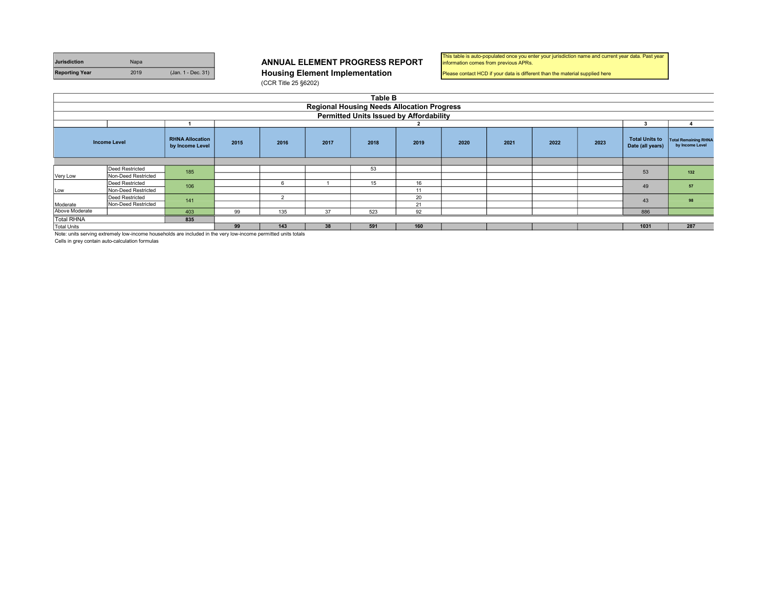| <b>Jurisdiction</b>   | Napa |                    | <b>ANNUAL ELEMENT PROGRESS R</b>      |
|-----------------------|------|--------------------|---------------------------------------|
| <b>Reporting Year</b> | 2019 | (Jan. 1 - Dec. 31) | <b>Housing Element Implementation</b> |

#### ANNUAL ELEMENT PROGRESS REPORT

(CCR Title 25 §6202)

| This table is auto-populated once you enter your jurisdiction name and current year data. Past year |  |
|-----------------------------------------------------------------------------------------------------|--|
| information comes from previous APRs.                                                               |  |

Please contact HCD if your data is different than the material supplied here

|                    | <b>Table B</b>                                                                                                                                                                                                                 |     |    |     |    |                                                |    |  |  |  |                                           |                                                |     |
|--------------------|--------------------------------------------------------------------------------------------------------------------------------------------------------------------------------------------------------------------------------|-----|----|-----|----|------------------------------------------------|----|--|--|--|-------------------------------------------|------------------------------------------------|-----|
|                    | <b>Regional Housing Needs Allocation Progress</b>                                                                                                                                                                              |     |    |     |    |                                                |    |  |  |  |                                           |                                                |     |
|                    |                                                                                                                                                                                                                                |     |    |     |    | <b>Permitted Units Issued by Affordability</b> |    |  |  |  |                                           |                                                |     |
|                    |                                                                                                                                                                                                                                |     |    |     |    |                                                |    |  |  |  |                                           |                                                |     |
|                    | <b>RHNA Allocation</b><br><b>Income Level</b><br>2015<br>2021<br>2023<br>2016<br>2018<br>2019<br>2020<br>2022<br>2017<br>by Income Level                                                                                       |     |    |     |    |                                                |    |  |  |  | <b>Total Units to</b><br>Date (all years) | <b>Total Remaining RHNA</b><br>by Income Level |     |
|                    |                                                                                                                                                                                                                                |     |    |     |    |                                                |    |  |  |  |                                           |                                                |     |
|                    | <b>Deed Restricted</b>                                                                                                                                                                                                         | 185 |    |     |    | 53                                             |    |  |  |  |                                           | 53                                             | 132 |
| Very Low           | Non-Deed Restricted                                                                                                                                                                                                            |     |    |     |    |                                                |    |  |  |  |                                           |                                                |     |
|                    | Deed Restricted                                                                                                                                                                                                                | 106 |    | 6   |    | 15                                             | 16 |  |  |  |                                           | 49                                             | 57  |
| Low                | Non-Deed Restricted                                                                                                                                                                                                            |     |    |     |    |                                                | 11 |  |  |  |                                           |                                                |     |
|                    | <b>Deed Restricted</b>                                                                                                                                                                                                         | 141 |    | 2   |    |                                                | 20 |  |  |  |                                           | 43                                             | 98  |
| Moderate           | Non-Deed Restricted                                                                                                                                                                                                            |     |    |     |    |                                                | 21 |  |  |  |                                           |                                                |     |
| Above Moderate     |                                                                                                                                                                                                                                | 403 | 99 | 135 | 37 | 523                                            | 92 |  |  |  |                                           | 886                                            |     |
| <b>Total RHNA</b>  | 835                                                                                                                                                                                                                            |     |    |     |    |                                                |    |  |  |  |                                           |                                                |     |
| <b>Total Units</b> | 160<br>1031<br>287<br>99<br>38<br>591<br>143                                                                                                                                                                                   |     |    |     |    |                                                |    |  |  |  |                                           |                                                |     |
|                    | A FORD COMPANY OF MORE CONTRACTS AND THE COMPANY OF THE COMPANY OF THE COMPANY OF THE COMPANY OF THE MORE OF THE RESERVE OF THE RESERVE OF THE RESERVE OF THE RESERVE OF THE RESERVE OF THE RESERVE OF THE RESERVE OF THE RESE |     |    |     |    |                                                |    |  |  |  |                                           |                                                |     |

Note: units serving extremely low-income households are included in the very low-income permitted units totals

Cells in grey contain auto-calculation formulas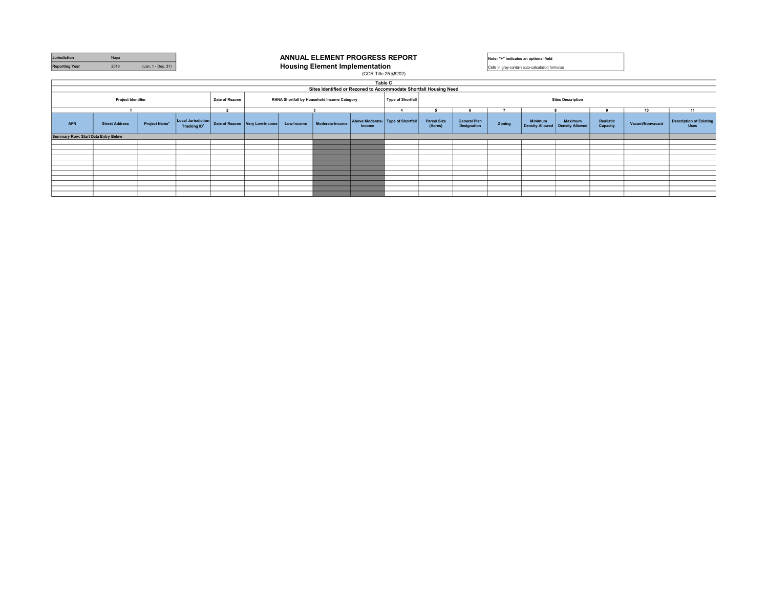| Jurisdiction                        | Napa                  |                    |                                                |                                                               |                                  |            |                                                                   |                                             | ANNUAL ELEMENT PROGRESS REPORT<br>Note: "+" indicates an optional field |                                                      |                                    |        |                                                 |                                              |                       |                  |                                               |  |
|-------------------------------------|-----------------------|--------------------|------------------------------------------------|---------------------------------------------------------------|----------------------------------|------------|-------------------------------------------------------------------|---------------------------------------------|-------------------------------------------------------------------------|------------------------------------------------------|------------------------------------|--------|-------------------------------------------------|----------------------------------------------|-----------------------|------------------|-----------------------------------------------|--|
| <b>Reporting Year</b>               | 2019                  | (Jan. 1 - Dec. 31) |                                                |                                                               |                                  |            | <b>Housing Element Implementation</b>                             |                                             |                                                                         |                                                      |                                    |        | Cells in grey contain auto-calculation formulas |                                              |                       |                  |                                               |  |
|                                     |                       |                    |                                                |                                                               |                                  |            |                                                                   | (CCR Title 25 §6202)                        |                                                                         |                                                      |                                    |        |                                                 |                                              |                       |                  |                                               |  |
|                                     |                       |                    |                                                |                                                               |                                  |            |                                                                   | Table C                                     |                                                                         |                                                      |                                    |        |                                                 |                                              |                       |                  |                                               |  |
|                                     |                       |                    |                                                |                                                               |                                  |            | Sites Identified or Rezoned to Accommodate Shortfall Housing Need |                                             |                                                                         |                                                      |                                    |        |                                                 |                                              |                       |                  |                                               |  |
|                                     | Project Identifier    |                    |                                                | RHNA Shortfall by Household Income Category<br>Date of Rezone |                                  |            |                                                                   |                                             |                                                                         | <b>Sites Description</b><br><b>Type of Shortfall</b> |                                    |        |                                                 |                                              |                       |                  |                                               |  |
|                                     |                       |                    |                                                | $\overline{2}$                                                |                                  |            |                                                                   |                                             |                                                                         |                                                      |                                    |        |                                                 |                                              |                       | 10               | 11                                            |  |
| <b>APN</b>                          | <b>Street Address</b> | Project Name*      | Local Jurisdiction<br>Tracking ID <sup>+</sup> |                                                               | Date of Rezone   Very Low-Income | Low-Income | Moderate-Income                                                   | Above Moderate- Type of Shortfall<br>Income |                                                                         | <b>Parcel Size</b><br>(Acres)                        | <b>General Plan</b><br>Designation | Zoning | <b>Minimum</b>                                  | Maximum<br>Density Allowed   Density Allowed | Realistic<br>Capacity | Vacant/Nonvacant | <b>Description of Existing</b><br><b>Uses</b> |  |
| Summary Row: Start Data Entry Below |                       |                    |                                                |                                                               |                                  |            |                                                                   |                                             |                                                                         |                                                      |                                    |        |                                                 |                                              |                       |                  |                                               |  |
|                                     |                       |                    |                                                |                                                               |                                  |            |                                                                   |                                             |                                                                         |                                                      |                                    |        |                                                 |                                              |                       |                  |                                               |  |
|                                     |                       |                    |                                                |                                                               |                                  |            |                                                                   |                                             |                                                                         |                                                      |                                    |        |                                                 |                                              |                       |                  |                                               |  |
|                                     |                       |                    |                                                |                                                               |                                  |            |                                                                   |                                             |                                                                         |                                                      |                                    |        |                                                 |                                              |                       |                  |                                               |  |
|                                     |                       |                    |                                                |                                                               |                                  |            |                                                                   |                                             |                                                                         |                                                      |                                    |        |                                                 |                                              |                       |                  |                                               |  |
|                                     |                       |                    |                                                |                                                               |                                  |            |                                                                   |                                             |                                                                         |                                                      |                                    |        |                                                 |                                              |                       |                  |                                               |  |
|                                     |                       |                    |                                                |                                                               |                                  |            |                                                                   |                                             |                                                                         |                                                      |                                    |        |                                                 |                                              |                       |                  |                                               |  |
|                                     |                       |                    |                                                |                                                               |                                  |            |                                                                   |                                             |                                                                         |                                                      |                                    |        |                                                 |                                              |                       |                  |                                               |  |
|                                     |                       |                    |                                                |                                                               |                                  |            |                                                                   |                                             |                                                                         |                                                      |                                    |        |                                                 |                                              |                       |                  |                                               |  |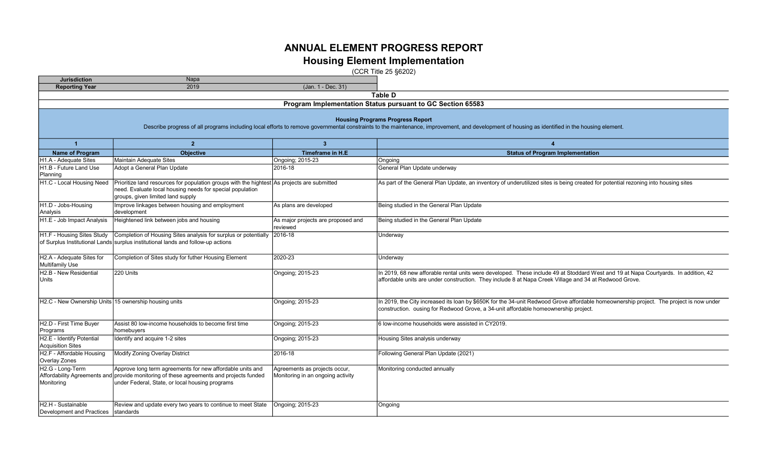# ANNUAL ELEMENT PROGRESS REPORT

### Housing Element Implementation

(CCR Title 25 §6202)

| <b>Jurisdiction</b>                                                         | Napa                                                                                                                                                                                                                                      |                                                                    |                                                                                                                                                                                                                                               |  |  |  |  |  |  |  |  |
|-----------------------------------------------------------------------------|-------------------------------------------------------------------------------------------------------------------------------------------------------------------------------------------------------------------------------------------|--------------------------------------------------------------------|-----------------------------------------------------------------------------------------------------------------------------------------------------------------------------------------------------------------------------------------------|--|--|--|--|--|--|--|--|
| <b>Reporting Year</b>                                                       | 2019                                                                                                                                                                                                                                      | (Jan. 1 - Dec. 31)                                                 |                                                                                                                                                                                                                                               |  |  |  |  |  |  |  |  |
|                                                                             |                                                                                                                                                                                                                                           |                                                                    | Table D                                                                                                                                                                                                                                       |  |  |  |  |  |  |  |  |
|                                                                             | Program Implementation Status pursuant to GC Section 65583                                                                                                                                                                                |                                                                    |                                                                                                                                                                                                                                               |  |  |  |  |  |  |  |  |
|                                                                             | <b>Housing Programs Progress Report</b><br>Describe progress of all programs including local efforts to remove governmental constraints to the maintenance, improvement, and development of housing as identified in the housing element. |                                                                    |                                                                                                                                                                                                                                               |  |  |  |  |  |  |  |  |
| $\overline{1}$                                                              | $\overline{2}$                                                                                                                                                                                                                            | 3 <sup>1</sup>                                                     | $\overline{4}$                                                                                                                                                                                                                                |  |  |  |  |  |  |  |  |
| <b>Name of Program</b>                                                      | <b>Objective</b>                                                                                                                                                                                                                          | <b>Timeframe in H.E</b>                                            | <b>Status of Program Implementation</b>                                                                                                                                                                                                       |  |  |  |  |  |  |  |  |
| H1.A - Adequate Sites                                                       | Maintain Adequate Sites                                                                                                                                                                                                                   | Ongoing; 2015-23                                                   | Ongoing                                                                                                                                                                                                                                       |  |  |  |  |  |  |  |  |
| H <sub>1.B</sub> - Future Land Use                                          | Adopt a General Plan Update                                                                                                                                                                                                               | 2016-18                                                            | General Plan Update underway                                                                                                                                                                                                                  |  |  |  |  |  |  |  |  |
| Planning                                                                    |                                                                                                                                                                                                                                           |                                                                    |                                                                                                                                                                                                                                               |  |  |  |  |  |  |  |  |
| H1.C - Local Housing Need                                                   | Prioritize land resources for population groups with the hightest As projects are submitted<br>need. Evaluate local housing needs for special population<br>groups, given limited land supply                                             |                                                                    | As part of the General Plan Update, an inventory of underutilized sites is being created for potential rezoning into housing sites                                                                                                            |  |  |  |  |  |  |  |  |
| H <sub>1.</sub> D - Jobs-Housing<br>Analysis                                | Improve linkages between housing and employment<br>development                                                                                                                                                                            | As plans are developed                                             | Being studied in the General Plan Update                                                                                                                                                                                                      |  |  |  |  |  |  |  |  |
| H1.E - Job Impact Analysis                                                  | Heightened link between jobs and housing                                                                                                                                                                                                  | As major projects are proposed and<br>reviewed                     | Being studied in the General Plan Update                                                                                                                                                                                                      |  |  |  |  |  |  |  |  |
| H1.F - Housing Sites Study                                                  | Completion of Housing Sites analysis for surplus or potentially<br>of Surplus Institutional Lands surplus institutional lands and follow-up actions                                                                                       | 2016-18                                                            | Underway                                                                                                                                                                                                                                      |  |  |  |  |  |  |  |  |
| H2.A - Adequate Sites for<br>Multifamily Use                                | Completion of Sites study for futher Housing Element                                                                                                                                                                                      | 2020-23                                                            | Underway                                                                                                                                                                                                                                      |  |  |  |  |  |  |  |  |
| H <sub>2</sub> .B - New Residential<br><b>Units</b>                         | 220 Units                                                                                                                                                                                                                                 | Ongoing; 2015-23                                                   | In 2019, 68 new afforable rental units were developed. These include 49 at Stoddard West and 19 at Napa Courtyards. In addition, 42<br>affordable units are under construction. They include 8 at Napa Creek Village and 34 at Redwood Grove. |  |  |  |  |  |  |  |  |
| H2.C - New Ownership Units 15 ownership housing units                       |                                                                                                                                                                                                                                           | Ongoing; 2015-23                                                   | In 2019, the City increased its loan by \$650K for the 34-unit Redwood Grove affordable homeownership project. The project is now under<br>construction. ousing for Redwood Grove, a 34-unit affordable homeownership project.                |  |  |  |  |  |  |  |  |
| H2.D - First Time Buyer<br>Programs                                         | Assist 80 low-income households to become first time<br>homebuyers                                                                                                                                                                        | Ongoing; 2015-23                                                   | 6 low-income households were assisted in CY2019.                                                                                                                                                                                              |  |  |  |  |  |  |  |  |
| H2.E - Identify Potential<br><b>Acquisition Sites</b>                       | Identify and acquire 1-2 sites                                                                                                                                                                                                            | Ongoing; 2015-23                                                   | Housing Sites analysis underway                                                                                                                                                                                                               |  |  |  |  |  |  |  |  |
| H2.F - Affordable Housing<br>Overlay Zones                                  | Modify Zoning Overlay District                                                                                                                                                                                                            | 2016-18                                                            | Following General Plan Update (2021)                                                                                                                                                                                                          |  |  |  |  |  |  |  |  |
| H <sub>2</sub> .G - Long-Term<br>Affordability Agreements and<br>Monitoring | Approve long term agreements for new affordable units and<br>provide monitoring of these agreements and projects funded<br>under Federal, State, or local housing programs                                                                | Agreements as projects occur,<br>Monitoring in an ongoing activity | Monitoring conducted annually                                                                                                                                                                                                                 |  |  |  |  |  |  |  |  |
| H2.H - Sustainable<br>Development and Practices                             | Review and update every two years to continue to meet State<br>standards                                                                                                                                                                  | Ongoing; 2015-23                                                   | Ongoing                                                                                                                                                                                                                                       |  |  |  |  |  |  |  |  |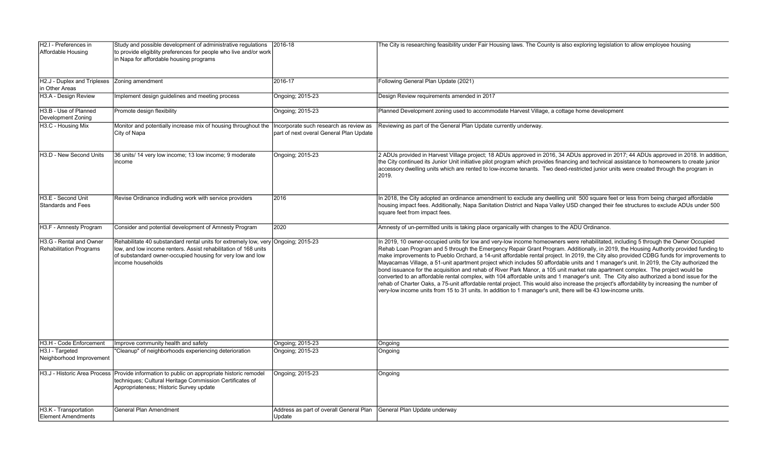| H2.I - Preferences in<br>Affordable Housing               | Study and possible development of administrative regulations<br>to provide eligiblity preferences for people who live and/or work<br>in Napa for affordable housing programs                                                            | 2016-18                                                                           | The City is researching feasibility under Fair Housing laws. The County is also exploring legislation to allow employee housing                                                                                                                                                                                                                                                                                                                                                                                                                                                                                                                                                                                                                                                                                                                                                                                                                                                                                                                                                                                      |
|-----------------------------------------------------------|-----------------------------------------------------------------------------------------------------------------------------------------------------------------------------------------------------------------------------------------|-----------------------------------------------------------------------------------|----------------------------------------------------------------------------------------------------------------------------------------------------------------------------------------------------------------------------------------------------------------------------------------------------------------------------------------------------------------------------------------------------------------------------------------------------------------------------------------------------------------------------------------------------------------------------------------------------------------------------------------------------------------------------------------------------------------------------------------------------------------------------------------------------------------------------------------------------------------------------------------------------------------------------------------------------------------------------------------------------------------------------------------------------------------------------------------------------------------------|
| H2.J - Duplex and Triplexes<br>in Other Areas             | Zoning amendment                                                                                                                                                                                                                        | 2016-17                                                                           | Following General Plan Update (2021)                                                                                                                                                                                                                                                                                                                                                                                                                                                                                                                                                                                                                                                                                                                                                                                                                                                                                                                                                                                                                                                                                 |
| H3.A - Design Review                                      | Implement design guidelines and meeting process                                                                                                                                                                                         | Ongoing; 2015-23                                                                  | Design Review requirements amended in 2017                                                                                                                                                                                                                                                                                                                                                                                                                                                                                                                                                                                                                                                                                                                                                                                                                                                                                                                                                                                                                                                                           |
| H3.B - Use of Planned<br>Development Zoning               | Promote design flexibility                                                                                                                                                                                                              | Ongoing; 2015-23                                                                  | Planned Development zoning used to accommodate Harvest Village, a cottage home development                                                                                                                                                                                                                                                                                                                                                                                                                                                                                                                                                                                                                                                                                                                                                                                                                                                                                                                                                                                                                           |
| H3.C - Housing Mix                                        | Monitor and potentially increase mix of housing throughout the<br>City of Napa                                                                                                                                                          | Incorporate such research as review as<br>part of next overal General Plan Update | Reviewing as part of the General Plan Update currently underway.                                                                                                                                                                                                                                                                                                                                                                                                                                                                                                                                                                                                                                                                                                                                                                                                                                                                                                                                                                                                                                                     |
| H <sub>3</sub> .D - New Second Units                      | 36 units/ 14 very low income; 13 low income; 9 moderate<br>ncome                                                                                                                                                                        | Ongoing: 2015-23                                                                  | 2 ADUs provided in Harvest Village project; 18 ADUs approved in 2016, 34 ADUs approved in 2017; 44 ADUs approved in 2018. In addition,<br>the City continued its Junior Unit initiative pilot program which provides financing and technical assistance to homeowners to create junior<br>accessory dwelling units which are rented to low-income tenants. Two deed-restricted junior units were created through the program in<br>2019.                                                                                                                                                                                                                                                                                                                                                                                                                                                                                                                                                                                                                                                                             |
| H3.E - Second Unit<br>Standards and Fees                  | Revise Ordinance indluding work with service providers                                                                                                                                                                                  | 2016                                                                              | In 2018, the City adopted an ordinance amendment to exclude any dwelling unit 500 square feet or less from being charged affordable<br>housing impact fees. Additionally, Napa Sanitation District and Napa Valley USD changed their fee structures to exclude ADUs under 500<br>square feet from impact fees.                                                                                                                                                                                                                                                                                                                                                                                                                                                                                                                                                                                                                                                                                                                                                                                                       |
| H3.F - Amnesty Program                                    | Consider and potential development of Amnesty Program                                                                                                                                                                                   | 2020                                                                              | Amnesty of un-permitted units is taking place organically with changes to the ADU Ordinance.                                                                                                                                                                                                                                                                                                                                                                                                                                                                                                                                                                                                                                                                                                                                                                                                                                                                                                                                                                                                                         |
| H3.G - Rental and Owner<br><b>Rehabilitation Programs</b> | Rehabilitate 40 substandard rental units for extremely low, very Ongoing; 2015-23<br>low, and low income renters. Assist rehabilitation of 168 units<br>of substandard owner-occupied housing for very low and low<br>income households |                                                                                   | In 2019, 10 owner-occupied units for low and very-low income homeowners were rehabilitated, including 5 through the Owner Occupied<br>Rehab Loan Program and 5 through the Emergency Repair Grant Program. Additionally, in 2019, the Housing Authority provided funding to<br>make improvements to Pueblo Orchard, a 14-unit affordable rental project. In 2019, the City also provided CDBG funds for improvements to<br>Mayacamas Village, a 51-unit apartment project which includes 50 affordable units and 1 manager's unit. In 2019, the City authorized the<br>bond issuance for the acquisition and rehab of River Park Manor, a 105 unit market rate apartment complex. The project would be<br>converted to an affordable rental complex, with 104 affordable units and 1 manager's unit. The City also authorized a bond issue for the<br>rehab of Charter Oaks, a 75-unit affordable rental project. This would also increase the project's affordability by increasing the number of<br>very-low income units from 15 to 31 units. In addition to 1 manager's unit, there will be 43 low-income units. |
| H3.H - Code Enforcement                                   | Improve community health and safety                                                                                                                                                                                                     | Ongoing; 2015-23                                                                  | Ongoing                                                                                                                                                                                                                                                                                                                                                                                                                                                                                                                                                                                                                                                                                                                                                                                                                                                                                                                                                                                                                                                                                                              |
| H3.I - Targeted<br>Neighborhood Improvement               | Cleanup" of neighborhoods experiencing deterioration                                                                                                                                                                                    | Ongoing; 2015-23                                                                  | Ongoing                                                                                                                                                                                                                                                                                                                                                                                                                                                                                                                                                                                                                                                                                                                                                                                                                                                                                                                                                                                                                                                                                                              |
| H3.J - Historic Area Process                              | Provide information to public on appropriate historic remodel<br>techniques; Cultural Heritage Commission Certificates of<br>Appropriateness; Historic Survey update                                                                    | Ongoing; 2015-23                                                                  | Ongoing                                                                                                                                                                                                                                                                                                                                                                                                                                                                                                                                                                                                                                                                                                                                                                                                                                                                                                                                                                                                                                                                                                              |
| H3.K - Transportation<br>Element Amendments               | <b>General Plan Amendment</b>                                                                                                                                                                                                           | Address as part of overall General Plan<br>Update                                 | General Plan Update underway                                                                                                                                                                                                                                                                                                                                                                                                                                                                                                                                                                                                                                                                                                                                                                                                                                                                                                                                                                                                                                                                                         |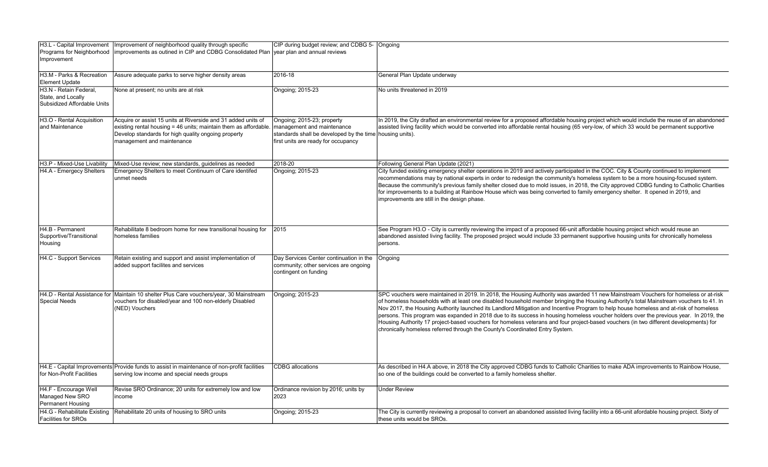| H3.L - Capital Improvement<br>Programs for Neighborhood<br>Improvement      | Improvement of neighborhood quality through specific<br>improvements as outined in CIP and CDBG Consolidated Plan vear plan and annual reviews                                                                         | CIP during budget review; and CDBG 5- Ongoing                                                                                               |                                                                                                                                                                                                                                                                                                                                                                                                                                                                                                                                                                                                                                                                                                                                                                                            |
|-----------------------------------------------------------------------------|------------------------------------------------------------------------------------------------------------------------------------------------------------------------------------------------------------------------|---------------------------------------------------------------------------------------------------------------------------------------------|--------------------------------------------------------------------------------------------------------------------------------------------------------------------------------------------------------------------------------------------------------------------------------------------------------------------------------------------------------------------------------------------------------------------------------------------------------------------------------------------------------------------------------------------------------------------------------------------------------------------------------------------------------------------------------------------------------------------------------------------------------------------------------------------|
| H3.M - Parks & Recreation<br><b>Element Update</b>                          | Assure adequate parks to serve higher density areas                                                                                                                                                                    | 2016-18                                                                                                                                     | General Plan Update underway                                                                                                                                                                                                                                                                                                                                                                                                                                                                                                                                                                                                                                                                                                                                                               |
| H3.N - Retain Federal.<br>State, and Locally<br>Subsidized Affordable Units | None at present; no units are at risk                                                                                                                                                                                  | Ongoing; 2015-23                                                                                                                            | No units threatened in 2019                                                                                                                                                                                                                                                                                                                                                                                                                                                                                                                                                                                                                                                                                                                                                                |
| H3.O - Rental Acquisition<br>and Maintenance                                | Acquire or assist 15 units at Riverside and 31 added units of<br>existing rental housing = 46 units; maintain them as affordable.<br>Develop standards for high quality ongoing property<br>management and maintenance | Ongoing; 2015-23; property<br>management and maintenance<br>standards shall be developed by the time<br>first units are ready for occupancy | In 2019, the City drafted an environmental review for a proposed affordable housing project which would include the reuse of an abandoned<br>assisted living facility which would be converted into affordable rental housing (65 very-low, of which 33 would be permanent supportive<br>housing units).                                                                                                                                                                                                                                                                                                                                                                                                                                                                                   |
| H3.P - Mixed-Use Livability                                                 | Mixed-Use review; new standards, quidelines as needed                                                                                                                                                                  | 2018-20                                                                                                                                     | Following General Plan Update (2021)                                                                                                                                                                                                                                                                                                                                                                                                                                                                                                                                                                                                                                                                                                                                                       |
| H4.A - Emergecy Shelters                                                    | Emergency Shelters to meet Continuum of Care identifed<br>unmet needs                                                                                                                                                  | Ongoing; 2015-23                                                                                                                            | City funded existing emergency shelter operations in 2019 and actively participated in the COC. City & County continued to implement<br>recommendations may by national experts in order to redesign the community's homeless system to be a more housing-focused system.<br>Because the community's previous family shelter closed due to mold issues, in 2018, the City approved CDBG funding to Catholic Charities<br>for improvements to a building at Rainbow House which was being converted to family emergency shelter. It opened in 2019, and<br>mprovements are still in the design phase.                                                                                                                                                                                       |
| H4.B - Permanent<br>Supportive/Transitional<br>Housing                      | Rehabilitate 8 bedroom home for new transitional housing for<br>homeless families                                                                                                                                      | 2015                                                                                                                                        | See Program H3.O - City is currently reviewing the impact of a proposed 66-unit affordable housing project which would reuse an<br>abandoned assisted living facility. The proposed project would include 33 permanent supportive housing units for chronically homeless<br>persons.                                                                                                                                                                                                                                                                                                                                                                                                                                                                                                       |
| H4.C - Support Services                                                     | Retain existing and support and assist implementation of<br>added support facilites and services                                                                                                                       | Day Services Center continuation in the<br>community; other services are ongoing<br>contingent on funding                                   | Ongoing                                                                                                                                                                                                                                                                                                                                                                                                                                                                                                                                                                                                                                                                                                                                                                                    |
| <b>Special Needs</b>                                                        | H4.D - Rental Assistance for Maintain 10 shelter Plus Care vouchers/year, 30 Mainstream<br>vouchers for disabled/year and 100 non-elderly Disabled<br>(NED) Vouchers                                                   | Ongoing; 2015-23                                                                                                                            | SPC vouchers were maintained in 2019. In 2018, the Housing Authority was awarded 11 new Mainstream Vouchers for homeless or at-risk<br>of homeless households with at least one disabled household member bringing the Housing Authority's total Mainstream vouchers to 41. In<br>Nov 2017, the Housing Authority launched its Landlord Mitigation and Incentive Program to help house homeless and at-risk of homeless<br>persons. This program was expanded in 2018 due to its success in housing homeless voucher holders over the previous year. In 2019, the<br>Housing Authority 17 project-based vouchers for homeless veterans and four project-based vouchers (in two different developments) for<br>chronically homeless referred through the County's Coordinated Entry System. |
| for Non-Profit Facilities                                                   | H4.E - Capital Improvements Provide funds to assist in maintenance of non-profit facilities<br>serving low income and special needs groups                                                                             | <b>CDBG</b> allocations                                                                                                                     | As described in H4.A above, in 2018 the City approved CDBG funds to Catholic Charities to make ADA improvements to Rainbow House,<br>so one of the buildings could be converted to a family homeless shelter.                                                                                                                                                                                                                                                                                                                                                                                                                                                                                                                                                                              |
| H4.F - Encourage Well<br>Managed New SRO<br>Permanent Housing               | Revise SRO Ordinance; 20 units for extremely low and low<br>income                                                                                                                                                     | Ordinance revision by 2016; units by<br>2023                                                                                                | <b>Under Review</b>                                                                                                                                                                                                                                                                                                                                                                                                                                                                                                                                                                                                                                                                                                                                                                        |
| H4.G - Rehabilitate Existing<br><b>Facilities for SROs</b>                  | Rehabilitate 20 units of housing to SRO units                                                                                                                                                                          | Ongoing; 2015-23                                                                                                                            | The City is currently reviewing a proposal to convert an abandoned assisted living facility into a 66-unit afordable housing project. Sixty of<br>these units would be SROs.                                                                                                                                                                                                                                                                                                                                                                                                                                                                                                                                                                                                               |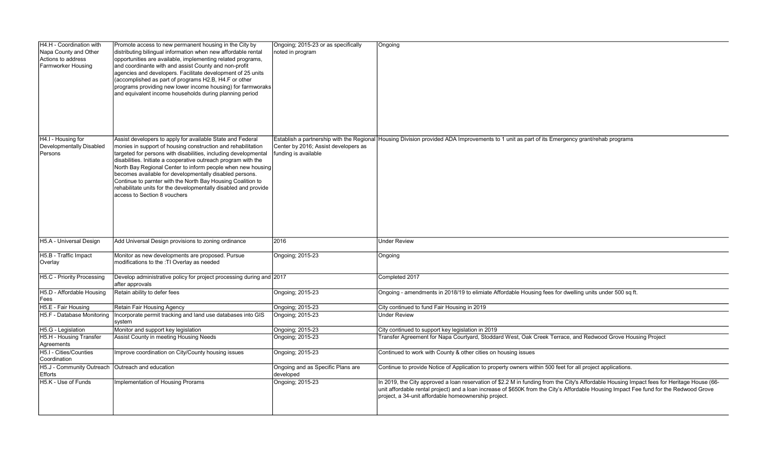| H4.H - Coordination with<br>Napa County and Other<br>Actions to address<br>Farmworker Housing | Promote access to new permanent housing in the City by<br>distributing bilingual information when new affordable rental<br>opportunities are available, implementing related programs,<br>and coordinante with and assist County and non-profit<br>agencies and developers. Facilitate development of 25 units<br>(accomplished as part of programs H2.B, H4.F or other<br>programs providing new lower income housing) for farmworaks<br>and equivalent income households during planning period | Ongoing; 2015-23 or as specifically<br>noted in program                                                   | Ongoing                                                                                                                                                                                                                                                                                                                                      |
|-----------------------------------------------------------------------------------------------|---------------------------------------------------------------------------------------------------------------------------------------------------------------------------------------------------------------------------------------------------------------------------------------------------------------------------------------------------------------------------------------------------------------------------------------------------------------------------------------------------|-----------------------------------------------------------------------------------------------------------|----------------------------------------------------------------------------------------------------------------------------------------------------------------------------------------------------------------------------------------------------------------------------------------------------------------------------------------------|
| H4.I - Housing for<br>Developmentally Disabled<br>Persons                                     | Assist developers to apply for available State and Federal<br>monies in support of housing construction and rehabilitation<br>targeted for persons with disabilities, including developmental<br>disabilities. Initiate a cooperative outreach program with the<br>North Bay Regional Center to inform people when new housing<br>becomes available for developmentally disabled persons.                                                                                                         | Establish a partnership with the Regional<br>Center by 2016; Assist developers as<br>funding is available | Housing Division provided ADA Improvements to 1 unit as part of its Emergency grant/rehab programs                                                                                                                                                                                                                                           |
|                                                                                               | Continue to parnter with the North Bay Housing Coalition to<br>rehabilitate units for the developmentally disabled and provide<br>access to Section 8 vouchers                                                                                                                                                                                                                                                                                                                                    |                                                                                                           |                                                                                                                                                                                                                                                                                                                                              |
| H5.A - Universal Design                                                                       | Add Universal Design provisions to zoning ordinance                                                                                                                                                                                                                                                                                                                                                                                                                                               | 2016                                                                                                      | <b>Under Review</b>                                                                                                                                                                                                                                                                                                                          |
| H5.B - Traffic Impact<br>Overlay                                                              | Monitor as new developments are proposed. Pursue<br>modifications to the : TI Overlay as needed                                                                                                                                                                                                                                                                                                                                                                                                   | Ongoing; 2015-23                                                                                          | Ongoing                                                                                                                                                                                                                                                                                                                                      |
| H5.C - Priority Processing                                                                    | Develop administrative policy for project processing during and 2017<br>after approvals                                                                                                                                                                                                                                                                                                                                                                                                           |                                                                                                           | Completed 2017                                                                                                                                                                                                                                                                                                                               |
| H5.D - Affordable Housing<br>Fees                                                             | Retain ability to defer fees                                                                                                                                                                                                                                                                                                                                                                                                                                                                      | Ongoing; 2015-23                                                                                          | Ongoing - amendments in 2018/19 to elimiate Affordable Housing fees for dwelling units under 500 sq ft.                                                                                                                                                                                                                                      |
| H5.E - Fair Housing                                                                           | Retain Fair Housing Agency                                                                                                                                                                                                                                                                                                                                                                                                                                                                        | Ongoing; 2015-23                                                                                          | City continued to fund Fair Housing in 2019                                                                                                                                                                                                                                                                                                  |
| H5.F - Database Monitoring                                                                    | Incorporate permit tracking and land use databases into GIS<br>system                                                                                                                                                                                                                                                                                                                                                                                                                             | Ongoing; 2015-23                                                                                          | <b>Under Review</b>                                                                                                                                                                                                                                                                                                                          |
| H5.G - Legislation                                                                            | Monitor and support key legislation                                                                                                                                                                                                                                                                                                                                                                                                                                                               | Ongoing; 2015-23                                                                                          | City continued to support key legislation in 2019                                                                                                                                                                                                                                                                                            |
| H5.H - Housing Transfer<br>Agreements                                                         | Assist County in meeting Housing Needs                                                                                                                                                                                                                                                                                                                                                                                                                                                            | Ongoing; 2015-23                                                                                          | Transfer Agreement for Napa Courtyard, Stoddard West, Oak Creek Terrace, and Redwood Grove Housing Project                                                                                                                                                                                                                                   |
| H5.I - Cities/Counties<br>Coordination                                                        | Improve coordination on City/County housing issues                                                                                                                                                                                                                                                                                                                                                                                                                                                | Ongoing; 2015-23                                                                                          | Continued to work with County & other cities on housing issues                                                                                                                                                                                                                                                                               |
| H5.J - Community Outreach<br>Efforts                                                          | Outreach and education                                                                                                                                                                                                                                                                                                                                                                                                                                                                            | Ongoing and as Specific Plans are<br>developed                                                            | Continue to provide Notice of Application to property owners within 500 feet for all project applications.                                                                                                                                                                                                                                   |
| H5.K - Use of Funds                                                                           | Implementation of Housing Prorams                                                                                                                                                                                                                                                                                                                                                                                                                                                                 | Ongoing; 2015-23                                                                                          | In 2019, the City approved a loan reservation of \$2.2 M in funding from the City's Affordable Housing Impact fees for Heritage House (66-<br>unit affordable rental project) and a loan increase of \$650K from the City's Affordable Housing Impact Fee fund for the Redwood Grove<br>project, a 34-unit affordable homeownership project. |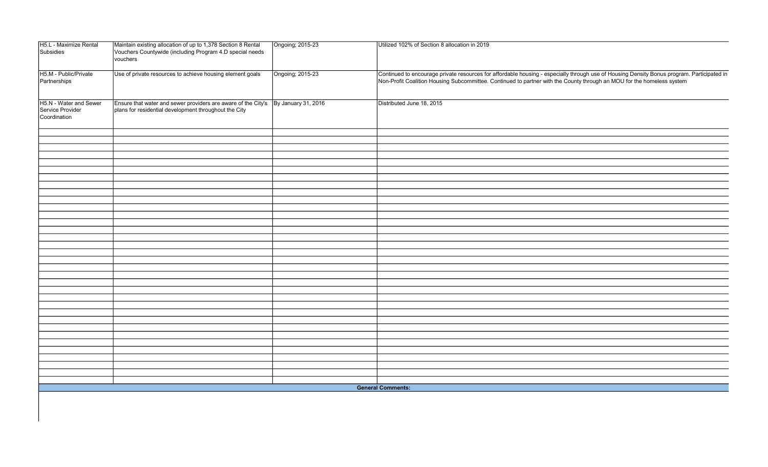| H5.L - Maximize Rental<br>Subsidies                        | Maintain existing allocation of up to 1,378 Section 8 Rental<br>Vouchers Countywide (including Program 4.D special needs<br>vouchers | Ongoing; 2015-23    | Utilized 102% of Section 8 allocation in 2019                                                                                                                                                                                                                        |
|------------------------------------------------------------|--------------------------------------------------------------------------------------------------------------------------------------|---------------------|----------------------------------------------------------------------------------------------------------------------------------------------------------------------------------------------------------------------------------------------------------------------|
| H5.M - Public/Private<br>Partnerships                      | Use of private resources to achieve housing element goals                                                                            | Ongoing; 2015-23    | Continued to encourage private resources for affordable housing - especially through use of Housing Density Bonus program. Participated in<br>Non-Profit Coalition Housing Subcommittee. Continued to partner with the County through an MOU for the homeless system |
| H5.N - Water and Sewer<br>Service Provider<br>Coordination | Ensure that water and sewer providers are aware of the City's<br>plans for residential development throughout the City               | By January 31, 2016 | Distributed June 18, 2015                                                                                                                                                                                                                                            |
|                                                            |                                                                                                                                      |                     |                                                                                                                                                                                                                                                                      |
|                                                            |                                                                                                                                      |                     |                                                                                                                                                                                                                                                                      |
|                                                            |                                                                                                                                      |                     |                                                                                                                                                                                                                                                                      |
|                                                            |                                                                                                                                      |                     |                                                                                                                                                                                                                                                                      |
|                                                            |                                                                                                                                      |                     |                                                                                                                                                                                                                                                                      |
|                                                            |                                                                                                                                      |                     |                                                                                                                                                                                                                                                                      |
|                                                            |                                                                                                                                      |                     |                                                                                                                                                                                                                                                                      |
|                                                            |                                                                                                                                      |                     |                                                                                                                                                                                                                                                                      |
|                                                            |                                                                                                                                      |                     |                                                                                                                                                                                                                                                                      |
|                                                            |                                                                                                                                      |                     | <b>General Comments:</b>                                                                                                                                                                                                                                             |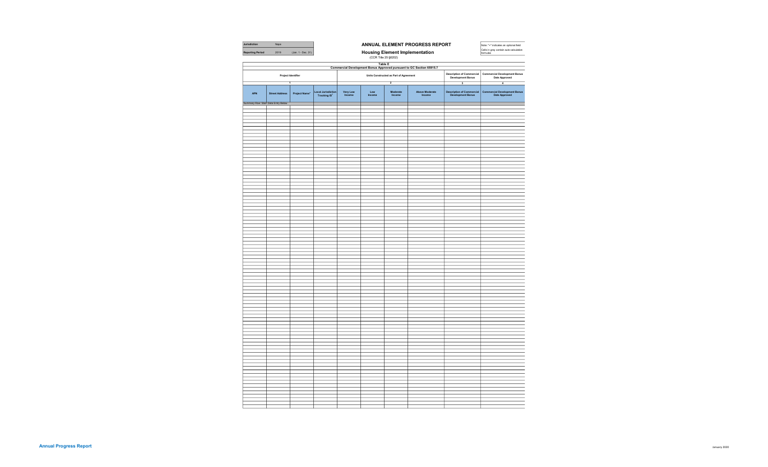| Jurisdiction                        | Napa                                                                                   |                           | ANNUAL ELEMENT PROGRESS REPORT                                            |                            |               |                                        |                                                        | Note: "+" indicates an optional field                  |                                                       |
|-------------------------------------|----------------------------------------------------------------------------------------|---------------------------|---------------------------------------------------------------------------|----------------------------|---------------|----------------------------------------|--------------------------------------------------------|--------------------------------------------------------|-------------------------------------------------------|
| <b>Reporting Period</b>             | 2019                                                                                   | (Jan. 1 - Dec. 31)        | Housing Element Implementation<br>$(CCR \text{ Title } 25 \text{ $6202)}$ |                            |               |                                        |                                                        | Cells in grey contain auto-calculation<br>formulas     |                                                       |
|                                     |                                                                                        |                           |                                                                           |                            |               |                                        |                                                        |                                                        |                                                       |
|                                     | <b>Table E</b><br>Commercial Development Bonus Approved pursuant to GC Section 65915.7 |                           |                                                                           |                            |               |                                        |                                                        |                                                        |                                                       |
| Project Identifier                  |                                                                                        |                           |                                                                           |                            |               | Units Constructed as Part of Agreement | <b>Description of Commercial<br/>Development Bonus</b> | <b>Commercial Development Bonus<br/>Date Approved</b>  |                                                       |
|                                     |                                                                                        | 7                         |                                                                           |                            |               | $\overline{2}$                         |                                                        | 3                                                      | $\overline{4}$                                        |
| <b>APN</b>                          | <b>Street Address</b>                                                                  | Project Name <sup>*</sup> | <b>Local Jurisdiction</b><br><b>Tracking ID*</b>                          | <b>Very Low<br/>Income</b> | Low<br>Income | Moderate<br>Income                     | Above Moderate<br>Income                               | <b>Description of Commercial<br/>Development Bonus</b> | <b>Commercial Development Bonus<br/>Date Approved</b> |
| Summary Row: Start Data Entry Below |                                                                                        |                           |                                                                           |                            |               |                                        |                                                        |                                                        |                                                       |
|                                     |                                                                                        |                           |                                                                           |                            |               |                                        |                                                        |                                                        |                                                       |
|                                     |                                                                                        |                           |                                                                           |                            |               |                                        |                                                        |                                                        |                                                       |
|                                     |                                                                                        |                           |                                                                           |                            |               |                                        |                                                        |                                                        |                                                       |
|                                     |                                                                                        |                           |                                                                           |                            |               |                                        |                                                        |                                                        |                                                       |
|                                     |                                                                                        |                           |                                                                           |                            |               |                                        |                                                        |                                                        |                                                       |
|                                     |                                                                                        |                           |                                                                           |                            |               |                                        |                                                        |                                                        |                                                       |
|                                     |                                                                                        |                           |                                                                           |                            |               |                                        |                                                        |                                                        |                                                       |
|                                     |                                                                                        |                           |                                                                           |                            |               |                                        |                                                        |                                                        |                                                       |
|                                     |                                                                                        |                           |                                                                           |                            |               |                                        |                                                        |                                                        |                                                       |
|                                     |                                                                                        |                           |                                                                           |                            |               |                                        |                                                        |                                                        |                                                       |
|                                     |                                                                                        |                           |                                                                           |                            |               |                                        |                                                        |                                                        |                                                       |
|                                     |                                                                                        |                           |                                                                           |                            |               |                                        |                                                        |                                                        |                                                       |
|                                     |                                                                                        |                           |                                                                           |                            |               |                                        |                                                        |                                                        |                                                       |
|                                     |                                                                                        |                           |                                                                           |                            |               |                                        |                                                        |                                                        |                                                       |
|                                     |                                                                                        |                           |                                                                           |                            |               |                                        |                                                        |                                                        |                                                       |
|                                     |                                                                                        |                           |                                                                           |                            |               |                                        |                                                        |                                                        |                                                       |
|                                     |                                                                                        |                           |                                                                           |                            |               |                                        |                                                        |                                                        |                                                       |
|                                     |                                                                                        |                           |                                                                           |                            |               |                                        |                                                        |                                                        |                                                       |
|                                     |                                                                                        |                           |                                                                           |                            |               |                                        |                                                        |                                                        |                                                       |
|                                     |                                                                                        |                           |                                                                           |                            |               |                                        |                                                        |                                                        |                                                       |
|                                     |                                                                                        |                           |                                                                           |                            |               |                                        |                                                        |                                                        |                                                       |
|                                     |                                                                                        |                           |                                                                           |                            |               |                                        |                                                        |                                                        |                                                       |
|                                     |                                                                                        |                           |                                                                           |                            |               |                                        |                                                        |                                                        |                                                       |
|                                     |                                                                                        |                           |                                                                           |                            |               |                                        |                                                        |                                                        |                                                       |
|                                     |                                                                                        |                           |                                                                           |                            |               |                                        |                                                        |                                                        |                                                       |
|                                     |                                                                                        |                           |                                                                           |                            |               |                                        |                                                        |                                                        |                                                       |
|                                     |                                                                                        |                           |                                                                           |                            |               |                                        |                                                        |                                                        |                                                       |
|                                     |                                                                                        |                           |                                                                           |                            |               |                                        |                                                        |                                                        |                                                       |
|                                     |                                                                                        |                           |                                                                           |                            |               |                                        |                                                        |                                                        |                                                       |
|                                     |                                                                                        |                           |                                                                           |                            |               |                                        |                                                        |                                                        |                                                       |
|                                     |                                                                                        |                           |                                                                           |                            |               |                                        |                                                        |                                                        |                                                       |
|                                     |                                                                                        |                           |                                                                           |                            |               |                                        |                                                        |                                                        |                                                       |
|                                     |                                                                                        |                           |                                                                           |                            |               |                                        |                                                        |                                                        |                                                       |
|                                     |                                                                                        |                           |                                                                           |                            |               |                                        |                                                        |                                                        |                                                       |
|                                     |                                                                                        |                           |                                                                           |                            |               |                                        |                                                        |                                                        |                                                       |
|                                     |                                                                                        |                           |                                                                           |                            |               |                                        |                                                        |                                                        |                                                       |
|                                     |                                                                                        |                           |                                                                           |                            |               |                                        |                                                        |                                                        |                                                       |
|                                     |                                                                                        |                           |                                                                           |                            |               |                                        |                                                        |                                                        |                                                       |
|                                     |                                                                                        |                           |                                                                           |                            |               |                                        |                                                        |                                                        |                                                       |
|                                     |                                                                                        |                           |                                                                           |                            |               |                                        |                                                        |                                                        |                                                       |
|                                     |                                                                                        |                           |                                                                           |                            |               |                                        |                                                        |                                                        |                                                       |
|                                     |                                                                                        |                           |                                                                           |                            |               |                                        |                                                        |                                                        |                                                       |
|                                     |                                                                                        |                           |                                                                           |                            |               |                                        |                                                        |                                                        |                                                       |
|                                     |                                                                                        |                           |                                                                           |                            |               |                                        |                                                        |                                                        |                                                       |
|                                     |                                                                                        |                           |                                                                           |                            |               |                                        |                                                        |                                                        |                                                       |
|                                     |                                                                                        |                           |                                                                           |                            |               |                                        |                                                        |                                                        |                                                       |
|                                     |                                                                                        |                           |                                                                           |                            |               |                                        |                                                        |                                                        |                                                       |
|                                     |                                                                                        |                           |                                                                           |                            |               |                                        |                                                        |                                                        |                                                       |
|                                     |                                                                                        |                           |                                                                           |                            |               |                                        |                                                        |                                                        |                                                       |
|                                     |                                                                                        |                           |                                                                           |                            |               |                                        |                                                        |                                                        |                                                       |
|                                     |                                                                                        |                           |                                                                           |                            |               |                                        |                                                        |                                                        |                                                       |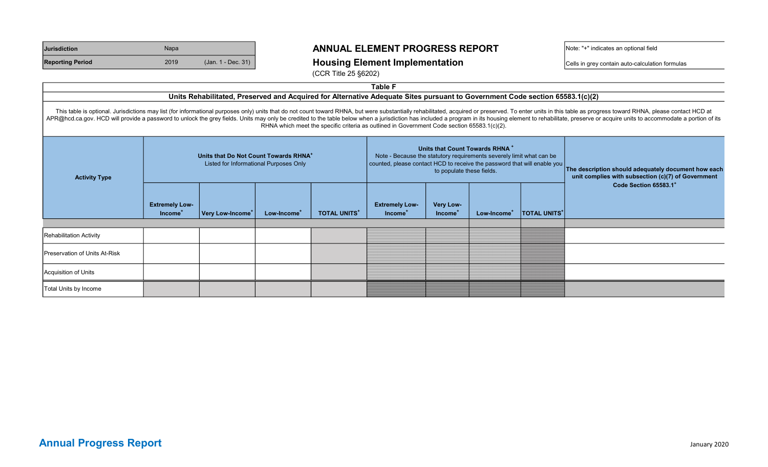| <b>Jurisdiction</b>     | Napa |                    |
|-------------------------|------|--------------------|
| <b>Reporting Period</b> | 2019 | (Jan. 1 - Dec. 31) |

### ANNUAL ELEMENT PROGRESS REPORT Note: "+" indicates an optional field

 $\frac{1}{2}$  Housing Element Implementation  $\frac{1}{2}$   $\frac{1}{2}$   $\frac{1}{2}$   $\frac{1}{2}$   $\frac{1}{2}$   $\frac{1}{2}$   $\frac{1}{2}$   $\frac{1}{2}$   $\frac{1}{2}$   $\frac{1}{2}$   $\frac{1}{2}$   $\frac{1}{2}$   $\frac{1}{2}$   $\frac{1}{2}$   $\frac{1}{2}$   $\frac{1}{2}$   $\frac{1}{2}$   $\frac{1}{2}$ 

(CCR Title 25 §6202)

| <b>Table F</b>                                                                                                               |                                                                                |                              |                         |                                                                                                                                                                                                                               |                                                                                             |                                  |                         |                                                                                                           |                                                                                                                                                                                                                                                                                                                                                                                                                                                                  |  |
|------------------------------------------------------------------------------------------------------------------------------|--------------------------------------------------------------------------------|------------------------------|-------------------------|-------------------------------------------------------------------------------------------------------------------------------------------------------------------------------------------------------------------------------|---------------------------------------------------------------------------------------------|----------------------------------|-------------------------|-----------------------------------------------------------------------------------------------------------|------------------------------------------------------------------------------------------------------------------------------------------------------------------------------------------------------------------------------------------------------------------------------------------------------------------------------------------------------------------------------------------------------------------------------------------------------------------|--|
| Units Rehabilitated, Preserved and Acquired for Alternative Adequate Sites pursuant to Government Code section 65583.1(c)(2) |                                                                                |                              |                         |                                                                                                                                                                                                                               |                                                                                             |                                  |                         |                                                                                                           |                                                                                                                                                                                                                                                                                                                                                                                                                                                                  |  |
|                                                                                                                              |                                                                                |                              |                         |                                                                                                                                                                                                                               | RHNA which meet the specific criteria as outlined in Government Code section 65583.1(c)(2). |                                  |                         |                                                                                                           | This table is optional. Jurisdictions may list (for informational purposes only) units that do not count toward RHNA, but were substantially rehabilitated, acquired or preserved. To enter units in this table as progress to<br>APR@hcd.ca.gov. HCD will provide a password to unlock the grey fields. Units may only be credited to the table below when a jurisdiction has included a program in its housing element to rehabilitate, preserve or acquire un |  |
| <b>Activity Type</b>                                                                                                         | Units that Do Not Count Towards RHNA<br>Listed for Informational Purposes Only |                              |                         | Units that Count Towards RHNA <sup>+</sup><br>Note - Because the statutory requirements severely limit what can be<br>counted, please contact HCD to receive the password that will enable you  <br>to populate these fields. |                                                                                             |                                  |                         | The description should adequately document how each<br>unit complies with subsection (c)(7) of Government |                                                                                                                                                                                                                                                                                                                                                                                                                                                                  |  |
|                                                                                                                              | <b>Extremely Low-</b><br>Income <sup>*</sup>                                   | Very Low-Income <sup>+</sup> | Low-Income <sup>+</sup> | <b>TOTAL UNITS*</b>                                                                                                                                                                                                           | <b>Extremely Low-</b><br>Income <sup>®</sup>                                                | Very Low-<br>Income <sup>-</sup> | Low-Income <sup>+</sup> | <b>TOTAL UNITS'</b>                                                                                       | Code Section 65583.1 <sup>+</sup>                                                                                                                                                                                                                                                                                                                                                                                                                                |  |
|                                                                                                                              |                                                                                |                              |                         |                                                                                                                                                                                                                               |                                                                                             |                                  |                         |                                                                                                           |                                                                                                                                                                                                                                                                                                                                                                                                                                                                  |  |
| <b>Rehabilitation Activity</b>                                                                                               |                                                                                |                              |                         |                                                                                                                                                                                                                               |                                                                                             |                                  |                         |                                                                                                           |                                                                                                                                                                                                                                                                                                                                                                                                                                                                  |  |
| lPreservation of Units At-Risk                                                                                               |                                                                                |                              |                         |                                                                                                                                                                                                                               |                                                                                             |                                  |                         |                                                                                                           |                                                                                                                                                                                                                                                                                                                                                                                                                                                                  |  |
| Acquisition of Units                                                                                                         |                                                                                |                              |                         |                                                                                                                                                                                                                               |                                                                                             |                                  |                         |                                                                                                           |                                                                                                                                                                                                                                                                                                                                                                                                                                                                  |  |
| Total Units by Income                                                                                                        |                                                                                |                              |                         |                                                                                                                                                                                                                               |                                                                                             |                                  |                         |                                                                                                           |                                                                                                                                                                                                                                                                                                                                                                                                                                                                  |  |